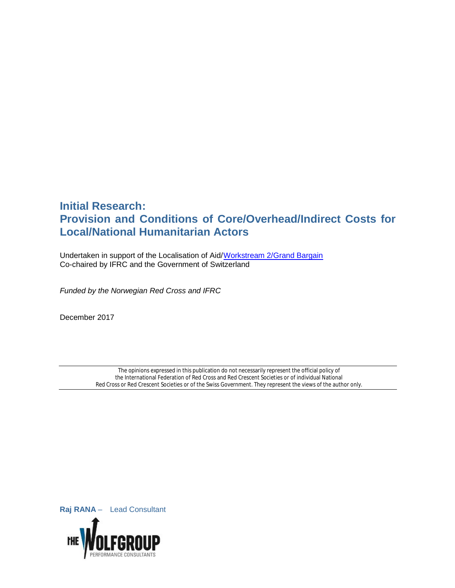# **Initial Research: Provision and Conditions of Core/Overhead/Indirect Costs for Local/National Humanitarian Actors**

Undertaken in support of the Localisation of Aid/Workstream 2/Grand Bargain Co-chaired by IFRC and the Government of Switzerland

*Funded by the Norwegian Red Cross and IFRC* 

December 2017

The opinions expressed in this publication do not necessarily represent the official policy of the International Federation of Red Cross and Red Crescent Societies or of individual National Red Cross or Red Crescent Societies or of the Swiss Government. They represent the views of the author only.

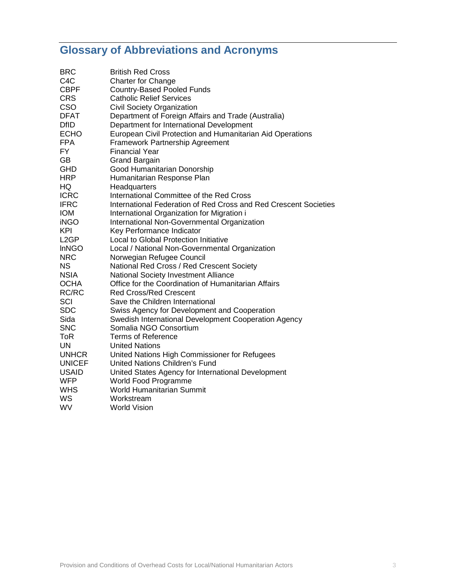# **Glossary of Abbreviations and Acronyms**

| <b>BRC</b><br>C <sub>4</sub> C | <b>British Red Cross</b>                                                                             |
|--------------------------------|------------------------------------------------------------------------------------------------------|
| <b>CBPF</b>                    | <b>Charter for Change</b><br><b>Country-Based Pooled Funds</b>                                       |
| <b>CRS</b>                     | <b>Catholic Relief Services</b>                                                                      |
| CSO                            | <b>Civil Society Organization</b>                                                                    |
| <b>DFAT</b>                    | Department of Foreign Affairs and Trade (Australia)                                                  |
| <b>DfID</b>                    | Department for International Development                                                             |
| <b>ECHO</b>                    | European Civil Protection and Humanitarian Aid Operations                                            |
| <b>FPA</b>                     | Framework Partnership Agreement                                                                      |
| FY.                            | <b>Financial Year</b>                                                                                |
| <b>GB</b>                      | <b>Grand Bargain</b>                                                                                 |
| <b>GHD</b>                     | Good Humanitarian Donorship                                                                          |
|                                |                                                                                                      |
| <b>HRP</b>                     | Humanitarian Response Plan                                                                           |
| HQ<br><b>ICRC</b>              | Headquarters<br>International Committee of the Red Cross                                             |
| <b>IFRC</b>                    | International Federation of Red Cross and Red Crescent Societies                                     |
| <b>IOM</b>                     | International Organization for Migration i                                                           |
| <b>iNGO</b>                    | International Non-Governmental Organization                                                          |
| KPI                            | Key Performance Indicator                                                                            |
| L <sub>2</sub> GP              | <b>Local to Global Protection Initiative</b>                                                         |
| <b>InNGO</b>                   | Local / National Non-Governmental Organization                                                       |
| <b>NRC</b>                     |                                                                                                      |
| <b>NS</b>                      | Norwegian Refugee Council<br>National Red Cross / Red Crescent Society                               |
| <b>NSIA</b>                    | National Society Investment Alliance                                                                 |
| <b>OCHA</b>                    | Office for the Coordination of Humanitarian Affairs                                                  |
| RC/RC                          | <b>Red Cross/Red Crescent</b>                                                                        |
| SCI                            | Save the Children International                                                                      |
| <b>SDC</b>                     |                                                                                                      |
| Sida                           | Swiss Agency for Development and Cooperation<br>Swedish International Development Cooperation Agency |
| <b>SNC</b>                     | Somalia NGO Consortium                                                                               |
| ToR                            | <b>Terms of Reference</b>                                                                            |
| UN.                            | <b>United Nations</b>                                                                                |
| <b>UNHCR</b>                   | United Nations High Commissioner for Refugees                                                        |
| <b>UNICEF</b>                  | <b>United Nations Children's Fund</b>                                                                |
| <b>USAID</b>                   | United States Agency for International Development                                                   |
| <b>WFP</b>                     | World Food Programme                                                                                 |
| <b>WHS</b>                     | World Humanitarian Summit                                                                            |
| WS                             | Workstream                                                                                           |
| <b>WV</b>                      | <b>World Vision</b>                                                                                  |
|                                |                                                                                                      |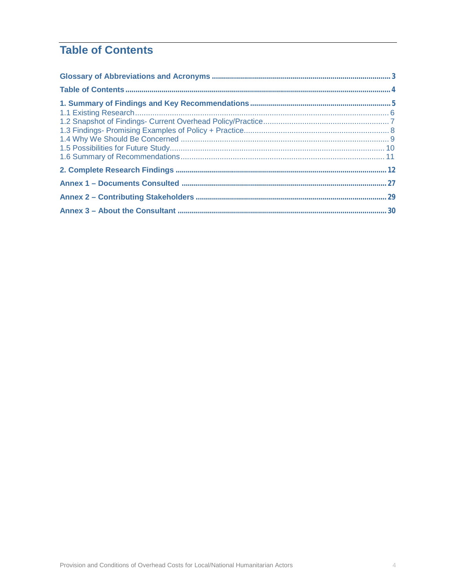# **Table of Contents**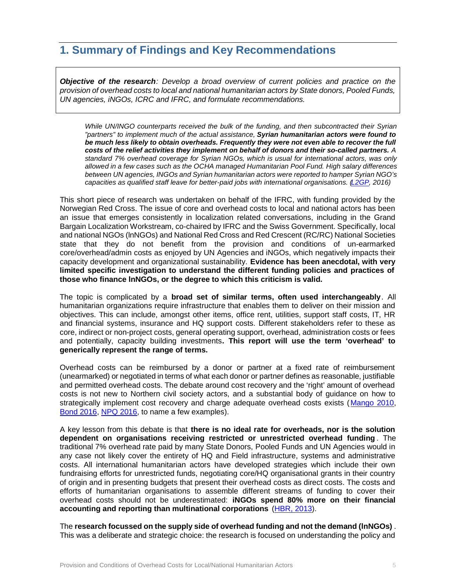## **1. Summary of Findings and Key Recommendations**

*Objective of the research: Develop a broad overview of current policies and practice on the provision of overhead costs to local and national humanitarian actors by State donors, Pooled Funds, UN agencies, iNGOs, ICRC and IFRC, and formulate recommendations.* 

*While UN/INGO counterparts received the bulk of the funding, and then subcontracted their Syrian "partners" to implement much of the actual assistance, Syrian humanitarian actors were found to be much less likely to obtain overheads. Frequently they were not even able to recover the full costs of the relief activities they implement on behalf of donors and their so-called partners. A standard 7% overhead coverage for Syrian NGOs, which is usual for international actors, was only allowed in a few cases such as the OCHA managed Humanitarian Pool Fund. High salary differences between UN agencies, INGOs and Syrian humanitarian actors were reported to hamper Syrian NGO's capacities as qualified staff leave for better-paid jobs with international organisations. (L2GP, 2016)* 

This short piece of research was undertaken on behalf of the IFRC, with funding provided by the Norwegian Red Cross. The issue of core and overhead costs to local and national actors has been an issue that emerges consistently in localization related conversations, including in the Grand Bargain Localization Workstream, co-chaired by IFRC and the Swiss Government. Specifically, local and national NGOs (lnNGOs) and National Red Cross and Red Crescent (RC/RC) National Societies state that they do not benefit from the provision and conditions of un-earmarked core/overhead/admin costs as enjoyed by UN Agencies and iNGOs, which negatively impacts their capacity development and organizational sustainability. **Evidence has been anecdotal, with very limited specific investigation to understand the different funding policies and practices of those who finance lnNGOs, or the degree to which this criticism is valid.**

The topic is complicated by a **broad set of similar terms, often used interchangeably**. All humanitarian organizations require infrastructure that enables them to deliver on their mission and objectives. This can include, amongst other items, office rent, utilities, support staff costs, IT, HR and financial systems, insurance and HQ support costs. Different stakeholders refer to these as core, indirect or non-project costs, general operating support, overhead, administration costs or fees and potentially, capacity building investments**. This report will use the term 'overhead' to generically represent the range of terms.**

Overhead costs can be reimbursed by a donor or partner at a fixed rate of reimbursement (unearmarked) or negotiated in terms of what each donor or partner defines as reasonable, justifiable and permitted overhead costs. The debate around cost recovery and the 'right' amount of overhead costs is not new to Northern civil society actors, and a substantial body of guidance on how to strategically implement cost recovery and charge adequate overhead costs exists (Mango 2010, Bond 2016, NPQ 2016, to name a few examples).

A key lesson from this debate is that **there is no ideal rate for overheads, nor is the solution dependent on organisations receiving restricted or unrestricted overhead funding** . The traditional 7% overhead rate paid by many State Donors, Pooled Funds and UN Agencies would in any case not likely cover the entirety of HQ and Field infrastructure, systems and administrative costs. All international humanitarian actors have developed strategies which include their own fundraising efforts for unrestricted funds, negotiating core/HQ organisational grants in their country of origin and in presenting budgets that present their overhead costs as direct costs. The costs and efforts of humanitarian organisations to assemble different streams of funding to cover their overhead costs should not be underestimated: **iNGOs spend 80% more on their financial accounting and reporting than multinational corporations** (HBR, 2013).

The **research focussed on the supply side of overhead funding and not the demand (lnNGOs)** . This was a deliberate and strategic choice: the research is focused on understanding the policy and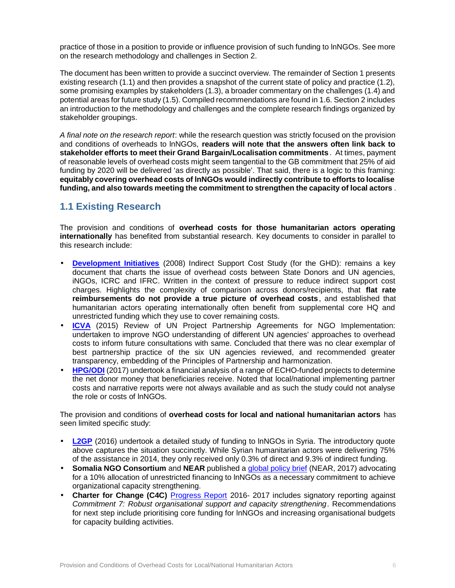practice of those in a position to provide or influence provision of such funding to lnNGOs. See more on the research methodology and challenges in Section 2.

The document has been written to provide a succinct overview. The remainder of Section 1 presents existing research (1.1) and then provides a snapshot of the current state of policy and practice (1.2), some promising examples by stakeholders (1.3), a broader commentary on the challenges (1.4) and potential areas for future study (1.5). Compiled recommendations are found in 1.6. Section 2 includes an introduction to the methodology and challenges and the complete research findings organized by stakeholder groupings.

*A final note on the research report*: while the research question was strictly focused on the provision and conditions of overheads to lnNGOs, **readers will note that the answers often link back to stakeholder efforts to meet their Grand Bargain/Localisation commitments**. At times, payment of reasonable levels of overhead costs might seem tangential to the GB commitment that 25% of aid funding by 2020 will be delivered 'as directly as possible'. That said, there is a logic to this framing: **equitably covering overhead costs of lnNGOs would indirectly contribute to efforts to localise funding, and also towards meeting the commitment to strengthen the capacity of local actors** .

## **1.1 Existing Research**

The provision and conditions of **overhead costs for those humanitarian actors operating internationally** has benefited from substantial research. Key documents to consider in parallel to this research include:

- **Development Initiatives** (2008) Indirect Support Cost Study (for the GHD): remains a key document that charts the issue of overhead costs between State Donors and UN agencies, iNGOs, ICRC and IFRC. Written in the context of pressure to reduce indirect support cost charges. Highlights the complexity of comparison across donors/recipients, that **flat rate reimbursements do not provide a true picture of overhead costs**, and established that humanitarian actors operating internationally often benefit from supplemental core HQ and unrestricted funding which they use to cover remaining costs.
- **ICVA** (2015) Review of UN Project Partnership Agreements for NGO Implementation: undertaken to improve NGO understanding of different UN agencies' approaches to overhead costs to inform future consultations with same. Concluded that there was no clear exemplar of best partnership practice of the six UN agencies reviewed, and recommended greater transparency, embedding of the Principles of Partnership and harmonization.
- **HPG/ODI** (2017) undertook a financial analysis of a range of ECHO-funded projects to determine the net donor money that beneficiaries receive. Noted that local/national implementing partner costs and narrative reports were not always available and as such the study could not analyse the role or costs of lnNGOs.

The provision and conditions of **overhead costs for local and national humanitarian actors** has seen limited specific study:

- **L2GP** (2016) undertook a detailed study of funding to lnNGOs in Syria. The introductory quote above captures the situation succinctly. While Syrian humanitarian actors were delivering 75% of the assistance in 2014, they only received only 0.3% of direct and 9.3% of indirect funding.
- **Somalia NGO Consortium** and **NEAR** published a global policy brief (NEAR, 2017) advocating for a 10% allocation of unrestricted financing to lnNGOs as a necessary commitment to achieve organizational capacity strengthening.
- **Charter for Change (C4C)** Progress Report 2016- 2017 includes signatory reporting against *Commitment 7: Robust organisational support and capacity strengthening*. Recommendations for next step include prioritising core funding for lnNGOs and increasing organisational budgets for capacity building activities.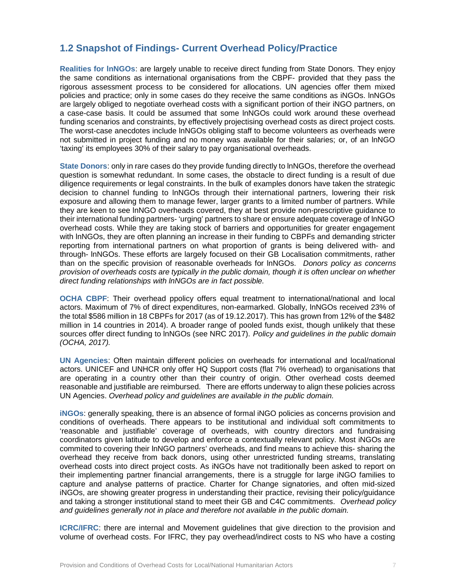## **1.2 Snapshot of Findings- Current Overhead Policy/Practice**

**Realities for lnNGOs**: are largely unable to receive direct funding from State Donors. They enjoy the same conditions as international organisations from the CBPF- provided that they pass the rigorous assessment process to be considered for allocations. UN agencies offer them mixed policies and practice; only in some cases do they receive the same conditions as iNGOs. lnNGOs are largely obliged to negotiate overhead costs with a significant portion of their iNGO partners, on a case-case basis. It could be assumed that some lnNGOs could work around these overhead funding scenarios and constraints, by effectively projectising overhead costs as direct project costs. The worst-case anecdotes include lnNGOs obliging staff to become volunteers as overheads were not submitted in project funding and no money was available for their salaries; or, of an lnNGO 'taxing' its employees 30% of their salary to pay organisational overheads.

**State Donors**: only in rare cases do they provide funding directly to lnNGOs, therefore the overhead question is somewhat redundant. In some cases, the obstacle to direct funding is a result of due diligence requirements or legal constraints. In the bulk of examples donors have taken the strategic decision to channel funding to lnNGOs through their international partners, lowering their risk exposure and allowing them to manage fewer, larger grants to a limited number of partners. While they are keen to see lnNGO overheads covered, they at best provide non-prescriptive guidance to their international funding partners- 'urging' partners to share or ensure adequate coverage of lnNGO overhead costs. While they are taking stock of barriers and opportunities for greater engagement with lnNGOs, they are often planning an increase in their funding to CBPFs and demanding stricter reporting from international partners on what proportion of grants is being delivered with- and through- lnNGOs. These efforts are largely focused on their GB Localisation commitments, rather than on the specific provision of reasonable overheads for lnNGOs. *Donors policy as concerns provision of overheads costs are typically in the public domain, though it is often unclear on whether direct funding relationships with lnNGOs are in fact possible.*

**OCHA CBPF**: Their overhead ppolicy offers equal treatment to international/national and local actors. Maximum of 7% of direct expenditures, non-earmarked. Globally, lnNGOs received 23% of the total \$586 million in 18 CBPFs for 2017 (as of 19.12.2017). This has grown from 12% of the \$482 million in 14 countries in 2014). A broader range of pooled funds exist, though unlikely that these sources offer direct funding to lnNGOs (see NRC 2017). *Policy and guidelines in the public domain (OCHA, 2017).*

**UN Agencies**: Often maintain different policies on overheads for international and local/national actors. UNICEF and UNHCR only offer HQ Support costs (flat 7% overhead) to organisations that are operating in a country other than their country of origin. Other overhead costs deemed reasonable and justifiable are reimbursed. There are efforts underway to align these policies across UN Agencies. *Overhead policy and guidelines are available in the public domain.*

**iNGOs**: generally speaking, there is an absence of formal iNGO policies as concerns provision and conditions of overheads. There appears to be institutional and individual soft commitments to 'reasonable and justifiable' coverage of overheads, with country directors and fundraising coordinators given latitude to develop and enforce a contextually relevant policy. Most iNGOs are commited to covering their lnNGO partners' overheads, and find means to achieve this- sharing the overhead they receive from back donors, using other unrestricted funding streams, translating overhead costs into direct project costs. As iNGOs have not traditionally been asked to report on their implementing partner financial arrangements, there is a struggle for large iNGO families to capture and analyse patterns of practice. Charter for Change signatories, and often mid-sized iNGOs, are showing greater progress in understanding their practice, revising their policy/guidance and taking a stronger institutional stand to meet their GB and C4C commitments. *Overhead policy and guidelines generally not in place and therefore not available in the public domain.*

**ICRC/IFRC**: there are internal and Movement guidelines that give direction to the provision and volume of overhead costs. For IFRC, they pay overhead/indirect costs to NS who have a costing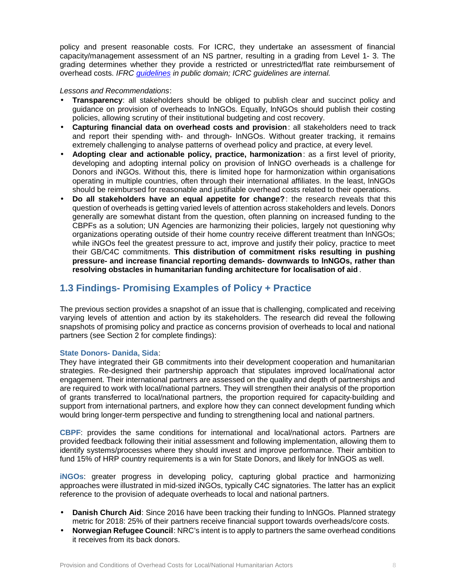policy and present reasonable costs. For ICRC, they undertake an assessment of financial capacity/management assessment of an NS partner, resulting in a grading from Level 1- 3. The grading determines whether they provide a restricted or unrestricted/flat rate reimbursement of overhead costs. *IFRC guidelines in public domain; ICRC guidelines are internal.*

#### *Lessons and Recommendations*:

- **Transparency**: all stakeholders should be obliged to publish clear and succinct policy and guidance on provision of overheads to lnNGOs. Equally, lnNGOs should publish their costing policies, allowing scrutiny of their institutional budgeting and cost recovery.
- **Capturing financial data on overhead costs and provision**: all stakeholders need to track and report their spending with- and through- lnNGOs. Without greater tracking, it remains extremely challenging to analyse patterns of overhead policy and practice, at every level.
- **Adopting clear and actionable policy, practice, harmonization**: as a first level of priority, developing and adopting internal policy on provision of lnNGO overheads is a challenge for Donors and iNGOs. Without this, there is limited hope for harmonization within organisations operating in multiple countries, often through their international affiliates. In the least, lnNGOs should be reimbursed for reasonable and justifiable overhead costs related to their operations.
- **Do all stakeholders have an equal appetite for change?**: the research reveals that this question of overheads is getting varied levels of attention across stakeholders and levels. Donors generally are somewhat distant from the question, often planning on increased funding to the CBPFs as a solution; UN Agencies are harmonizing their policies, largely not questioning why organizations operating outside of their home country receive different treatment than lnNGOs; while iNGOs feel the greatest pressure to act, improve and justify their policy, practice to meet their GB/C4C commitments. **This distribution of commitment risks resulting in pushing pressure- and increase financial reporting demands- downwards to lnNGOs, rather than resolving obstacles in humanitarian funding architecture for localisation of aid** .

## **1.3 Findings- Promising Examples of Policy + Practice**

The previous section provides a snapshot of an issue that is challenging, complicated and receiving varying levels of attention and action by its stakeholders. The research did reveal the following snapshots of promising policy and practice as concerns provision of overheads to local and national partners (see Section 2 for complete findings):

#### **State Donors- Danida, Sida**:

They have integrated their GB commitments into their development cooperation and humanitarian strategies. Re-designed their partnership approach that stipulates improved local/national actor engagement. Their international partners are assessed on the quality and depth of partnerships and are required to work with local/national partners. They will strengthen their analysis of the proportion of grants transferred to local/national partners, the proportion required for capacity-building and support from international partners, and explore how they can connect development funding which would bring longer-term perspective and funding to strengthening local and national partners.

**CBPF**: provides the same conditions for international and local/national actors. Partners are provided feedback following their initial assessment and following implementation, allowing them to identify systems/processes where they should invest and improve performance. Their ambition to fund 15% of HRP country requirements is a win for State Donors, and likely for lnNGOS as well.

**iNGOs**: greater progress in developing policy, capturing global practice and harmonizing approaches were illustrated in mid-sized iNGOs, typically C4C signatories. The latter has an explicit reference to the provision of adequate overheads to local and national partners.

- **Danish Church Aid**: Since 2016 have been tracking their funding to lnNGOs. Planned strategy metric for 2018: 25% of their partners receive financial support towards overheads/core costs.
- **Norwegian Refugee Council**: NRC's intent is to apply to partners the same overhead conditions it receives from its back donors.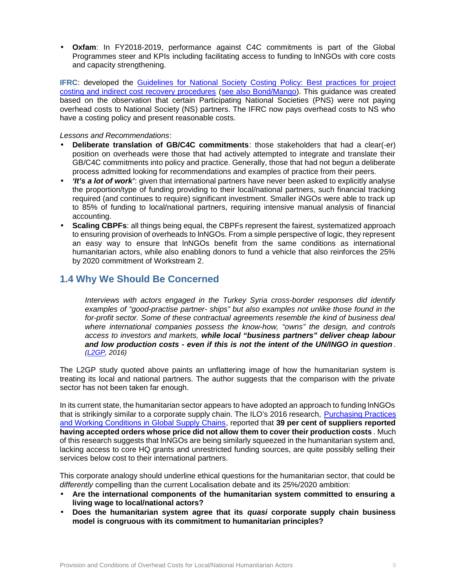• **Oxfam**: In FY2018-2019, performance against C4C commitments is part of the Global Programmes steer and KPIs including facilitating access to funding to lnNGOs with core costs and capacity strengthening.

**IFRC**: developed the Guidelines for National Society Costing Policy: Best practices for project costing and indirect cost recovery procedures (see also Bond/Mango). This guidance was created based on the observation that certain Participating National Societies (PNS) were not paying overhead costs to National Society (NS) partners. The IFRC now pays overhead costs to NS who have a costing policy and present reasonable costs.

*Lessons and Recommendations*:

- **Deliberate translation of GB/C4C commitments**: those stakeholders that had a clear(-er) position on overheads were those that had actively attempted to integrate and translate their GB/C4C commitments into policy and practice. Generally, those that had not begun a deliberate process admitted looking for recommendations and examples of practice from their peers.
- *'It's a lot of work'*: given that international partners have never been asked to explicitly analyse the proportion/type of funding providing to their local/national partners, such financial tracking required (and continues to require) significant investment. Smaller iNGOs were able to track up to 85% of funding to local/national partners, requiring intensive manual analysis of financial accounting.
- **Scaling CBPFs**: all things being equal, the CBPFs represent the fairest, systematized approach to ensuring provision of overheads to lnNGOs. From a simple perspective of logic, they represent an easy way to ensure that lnNGOs benefit from the same conditions as international humanitarian actors, while also enabling donors to fund a vehicle that also reinforces the 25% by 2020 commitment of Workstream 2.

### **1.4 Why We Should Be Concerned**

*Interviews with actors engaged in the Turkey Syria cross-border responses did identify examples of "good-practise partner- ships" but also examples not unlike those found in the for-profit sector. Some of these contractual agreements resemble the kind of business deal where international companies possess the know-how, "owns" the design, and controls access to investors and markets, while local "business partners" deliver cheap labour and low production costs - even if this is not the intent of the UN/INGO in question . (L2GP, 2016)*

The L2GP study quoted above paints an unflattering image of how the humanitarian system is treating its local and national partners. The author suggests that the comparison with the private sector has not been taken far enough.

In its current state, the humanitarian sector appears to have adopted an approach to funding lnNGOs that is strikingly similar to a corporate supply chain. The ILO's 2016 research, Purchasing Practices and Working Conditions in Global Supply Chains, reported that **39 per cent of suppliers reported having accepted orders whose price did not allow them to cover their production costs** . Much of this research suggests that lnNGOs are being similarly squeezed in the humanitarian system and, lacking access to core HQ grants and unrestricted funding sources, are quite possibly selling their services below cost to their international partners.

This corporate analogy should underline ethical questions for the humanitarian sector, that could be *differently* compelling than the current Localisation debate and its 25%/2020 ambition:

- **Are the international components of the humanitarian system committed to ensuring a living wage to local/national actors?**
- **Does the humanitarian system agree that its** *quasi* **corporate supply chain business model is congruous with its commitment to humanitarian principles?**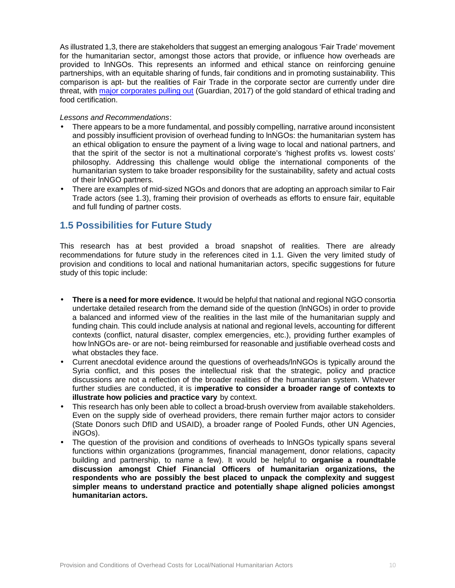As illustrated 1,3, there are stakeholders that suggest an emerging analogous 'Fair Trade' movement for the humanitarian sector, amongst those actors that provide, or influence how overheads are provided to lnNGOs. This represents an informed and ethical stance on reinforcing genuine partnerships, with an equitable sharing of funds, fair conditions and in promoting sustainability. This comparison is apt- but the realities of Fair Trade in the corporate sector are currently under dire threat, with major corporates pulling out (Guardian, 2017) of the gold standard of ethical trading and food certification.

#### *Lessons and Recommendations*:

- There appears to be a more fundamental, and possibly compelling, narrative around inconsistent and possibly insufficient provision of overhead funding to lnNGOs: the humanitarian system has an ethical obligation to ensure the payment of a living wage to local and national partners, and that the spirit of the sector is not a multinational corporate's 'highest profits vs. lowest costs' philosophy. Addressing this challenge would oblige the international components of the humanitarian system to take broader responsibility for the sustainability, safety and actual costs of their lnNGO partners.
- There are examples of mid-sized NGOs and donors that are adopting an approach similar to Fair Trade actors (see 1.3), framing their provision of overheads as efforts to ensure fair, equitable and full funding of partner costs.

## **1.5 Possibilities for Future Study**

This research has at best provided a broad snapshot of realities. There are already recommendations for future study in the references cited in 1.1. Given the very limited study of provision and conditions to local and national humanitarian actors, specific suggestions for future study of this topic include:

- **There is a need for more evidence.** It would be helpful that national and regional NGO consortia undertake detailed research from the demand side of the question (lnNGOs) in order to provide a balanced and informed view of the realities in the last mile of the humanitarian supply and funding chain. This could include analysis at national and regional levels, accounting for different contexts (conflict, natural disaster, complex emergencies, etc.), providing further examples of how lnNGOs are- or are not- being reimbursed for reasonable and justifiable overhead costs and what obstacles they face.
- Current anecdotal evidence around the questions of overheads/lnNGOs is typically around the Syria conflict, and this poses the intellectual risk that the strategic, policy and practice discussions are not a reflection of the broader realities of the humanitarian system. Whatever further studies are conducted, it is i**mperative to consider a broader range of contexts to illustrate how policies and practice vary** by context.
- This research has only been able to collect a broad-brush overview from available stakeholders. Even on the supply side of overhead providers, there remain further major actors to consider (State Donors such DfID and USAID), a broader range of Pooled Funds, other UN Agencies, iNGOs).
- The question of the provision and conditions of overheads to InNGOs typically spans several functions within organizations (programmes, financial management, donor relations, capacity building and partnership, to name a few). It would be helpful to **organise a roundtable discussion amongst Chief Financial Officers of humanitarian organizations, the respondents who are possibly the best placed to unpack the complexity and suggest simpler means to understand practice and potentially shape aligned policies amongst humanitarian actors.**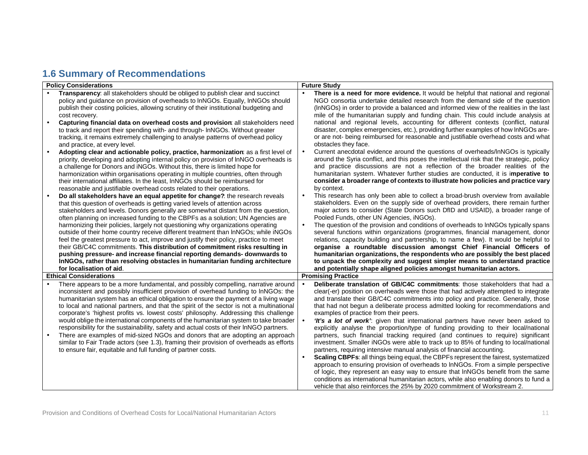# **1.6 Summary of Recommendations**

|           | <b>Policy Considerations</b>                                                                                                                                         | <b>Future Study</b> |                                                                                                                                                                        |  |
|-----------|----------------------------------------------------------------------------------------------------------------------------------------------------------------------|---------------------|------------------------------------------------------------------------------------------------------------------------------------------------------------------------|--|
|           | Transparency: all stakeholders should be obliged to publish clear and succinct                                                                                       |                     | There is a need for more evidence. It would be helpful that national and regional                                                                                      |  |
|           | policy and guidance on provision of overheads to InNGOs. Equally, InNGOs should                                                                                      |                     | NGO consortia undertake detailed research from the demand side of the question                                                                                         |  |
|           | publish their costing policies, allowing scrutiny of their institutional budgeting and                                                                               |                     | (InNGOs) in order to provide a balanced and informed view of the realities in the last                                                                                 |  |
|           | cost recovery.                                                                                                                                                       |                     | mile of the humanitarian supply and funding chain. This could include analysis at                                                                                      |  |
| $\bullet$ | Capturing financial data on overhead costs and provision: all stakeholders need                                                                                      |                     | national and regional levels, accounting for different contexts (conflict, natural                                                                                     |  |
|           | to track and report their spending with- and through- InNGOs. Without greater                                                                                        |                     | disaster, complex emergencies, etc.), providing further examples of how InNGOs are-                                                                                    |  |
|           | tracking, it remains extremely challenging to analyse patterns of overhead policy                                                                                    |                     | or are not- being reimbursed for reasonable and justifiable overhead costs and what                                                                                    |  |
|           | and practice, at every level.                                                                                                                                        |                     | obstacles they face.                                                                                                                                                   |  |
| $\bullet$ | Adopting clear and actionable policy, practice, harmonization: as a first level of                                                                                   | $\bullet$           | Current anecdotal evidence around the questions of overheads/InNGOs is typically                                                                                       |  |
|           | priority, developing and adopting internal policy on provision of InNGO overheads is                                                                                 |                     | around the Syria conflict, and this poses the intellectual risk that the strategic, policy                                                                             |  |
|           | a challenge for Donors and iNGOs. Without this, there is limited hope for                                                                                            |                     | and practice discussions are not a reflection of the broader realities of the                                                                                          |  |
|           | harmonization within organisations operating in multiple countries, often through                                                                                    |                     | humanitarian system. Whatever further studies are conducted, it is imperative to                                                                                       |  |
|           | their international affiliates. In the least, InNGOs should be reimbursed for                                                                                        |                     | consider a broader range of contexts to illustrate how policies and practice vary                                                                                      |  |
|           | reasonable and justifiable overhead costs related to their operations.                                                                                               |                     | by context.                                                                                                                                                            |  |
| $\bullet$ | Do all stakeholders have an equal appetite for change? the research reveals                                                                                          | $\bullet$           | This research has only been able to collect a broad-brush overview from available<br>stakeholders. Even on the supply side of overhead providers, there remain further |  |
|           | that this question of overheads is getting varied levels of attention across                                                                                         |                     | major actors to consider (State Donors such DfID and USAID), a broader range of                                                                                        |  |
|           | stakeholders and levels. Donors generally are somewhat distant from the question,<br>often planning on increased funding to the CBPFs as a solution; UN Agencies are |                     | Pooled Funds, other UN Agencies, iNGOs).                                                                                                                               |  |
|           | harmonizing their policies, largely not questioning why organizations operating                                                                                      | $\bullet$           | The question of the provision and conditions of overheads to InNGOs typically spans                                                                                    |  |
|           | outside of their home country receive different treatment than InNGOs; while iNGOs                                                                                   |                     | several functions within organizations (programmes, financial management, donor                                                                                        |  |
|           | feel the greatest pressure to act, improve and justify their policy, practice to meet                                                                                |                     | relations, capacity building and partnership, to name a few). It would be helpful to                                                                                   |  |
|           | their GB/C4C commitments. This distribution of commitment risks resulting in                                                                                         |                     | organise a roundtable discussion amongst Chief Financial Officers of                                                                                                   |  |
|           | pushing pressure- and increase financial reporting demands- downwards to                                                                                             |                     | humanitarian organizations, the respondents who are possibly the best placed                                                                                           |  |
|           | InNGOs, rather than resolving obstacles in humanitarian funding architecture                                                                                         |                     | to unpack the complexity and suggest simpler means to understand practice                                                                                              |  |
|           | for localisation of aid.                                                                                                                                             |                     | and potentially shape aligned policies amongst humanitarian actors.                                                                                                    |  |
|           | <b>Ethical Considerations</b>                                                                                                                                        |                     | <b>Promising Practice</b>                                                                                                                                              |  |
|           | There appears to be a more fundamental, and possibly compelling, narrative around                                                                                    | $\bullet$           | Deliberate translation of GB/C4C commitments: those stakeholders that had a                                                                                            |  |
|           | inconsistent and possibly insufficient provision of overhead funding to InNGOs: the                                                                                  |                     | clear(-er) position on overheads were those that had actively attempted to integrate                                                                                   |  |
|           | humanitarian system has an ethical obligation to ensure the payment of a living wage                                                                                 |                     | and translate their GB/C4C commitments into policy and practice. Generally, those                                                                                      |  |
|           | to local and national partners, and that the spirit of the sector is not a multinational                                                                             |                     | that had not begun a deliberate process admitted looking for recommendations and                                                                                       |  |
|           | corporate's 'highest profits vs. lowest costs' philosophy. Addressing this challenge                                                                                 |                     | examples of practice from their peers.                                                                                                                                 |  |
|           | would oblige the international components of the humanitarian system to take broader                                                                                 | $\bullet$           | 'It's a lot of work': given that international partners have never been asked to                                                                                       |  |
|           | responsibility for the sustainability, safety and actual costs of their InNGO partners.                                                                              |                     | explicitly analyse the proportion/type of funding providing to their local/national                                                                                    |  |
| $\bullet$ | There are examples of mid-sized NGOs and donors that are adopting an approach                                                                                        |                     | partners, such financial tracking required (and continues to require) significant                                                                                      |  |
|           | similar to Fair Trade actors (see 1.3), framing their provision of overheads as efforts                                                                              |                     | investment. Smaller iNGOs were able to track up to 85% of funding to local/national                                                                                    |  |
|           | to ensure fair, equitable and full funding of partner costs.                                                                                                         |                     | partners, requiring intensive manual analysis of financial accounting.                                                                                                 |  |
|           |                                                                                                                                                                      | $\bullet$           | Scaling CBPFs: all things being equal, the CBPFs represent the fairest, systematized                                                                                   |  |
|           |                                                                                                                                                                      |                     | approach to ensuring provision of overheads to InNGOs. From a simple perspective<br>of logic, they represent an easy way to ensure that InNGOs benefit from the same   |  |
|           |                                                                                                                                                                      |                     | conditions as international humanitarian actors, while also enabling donors to fund a                                                                                  |  |
|           |                                                                                                                                                                      |                     | vehicle that also reinforces the 25% by 2020 commitment of Workstream 2.                                                                                               |  |
|           |                                                                                                                                                                      |                     |                                                                                                                                                                        |  |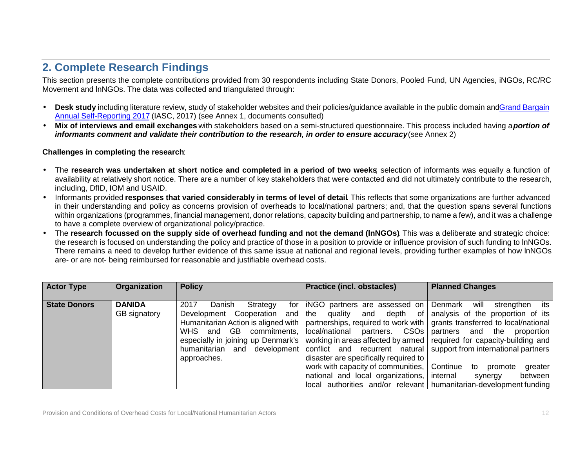# **2. Complete Research Findings**

This section presents the complete contributions provided from 30 respondents including State Donors, Pooled Fund, UN Agencies, iNGOs, RC/RC Movement and lnNGOs. The data was collected and triangulated through:

- Desk study including literature review, study of stakeholder websites and their policies/guidance available in the public domain and Grand Bargain Annual Self-Reporting 2017 (IASC, 2017) (see Annex 1, documents consulted)
- **Mix of interviews and email exchanges** with stakeholders based on a semi-structured questionnaire. This process included having a *portion of informants comment and validate their contribution to the research, in order to ensure accuracy*(see Annex 2)

#### **Challenges in completing the research**:

- The research was undertaken at short notice and completed in a period of two weeks selection of informants was equally a function of availability at relatively short notice. There are a number of key stakeholders that were contacted and did not ultimately contribute to the research, including, DfID, IOM and USAID.
- Informants provided **responses that varied considerably in terms of level of detail**. This reflects that some organizations are further advanced in their understanding and policy as concerns provision of overheads to local/national partners; and, that the question spans several functions within organizations (programmes, financial management, donor relations, capacity building and partnership, to name a few), and it was a challenge to have a complete overview of organizational policy/practice.
- The **research focussed on the supply side of overhead funding and not the demand (lnNGOs)**. This was a deliberate and strategic choice: the research is focused on understanding the policy and practice of those in a position to provide or influence provision of such funding to lnNGOs. There remains a need to develop further evidence of this same issue at national and regional levels, providing further examples of how lnNGOs are- or are not- being reimbursed for reasonable and justifiable overhead costs.

| <b>State Donors</b><br><b>DANIDA</b><br>2017<br>for iNGO partners are assessed on Denmark will strengthen its<br>Danish<br>Strategy<br>Development Cooperation and the quality and depth of analysis of the proportion of its<br>GB signatory<br>Humanitarian Action is aligned with   partnerships, required to work with   grants transferred to local/national<br>WHS and GB commitments, local/national partners. CSOs partners and the proportion<br>especially in joining up Denmark's   working in areas affected by armed   required for capacity-building and  <br>humanitarian and development   conflict and recurrent natural   support from international partners  <br>disaster are specifically required to<br>approaches.<br>work with capacity of communities, Continue to promote<br>national and local organizations, internal<br>synergy | greater<br>between l |
|--------------------------------------------------------------------------------------------------------------------------------------------------------------------------------------------------------------------------------------------------------------------------------------------------------------------------------------------------------------------------------------------------------------------------------------------------------------------------------------------------------------------------------------------------------------------------------------------------------------------------------------------------------------------------------------------------------------------------------------------------------------------------------------------------------------------------------------------------------------|----------------------|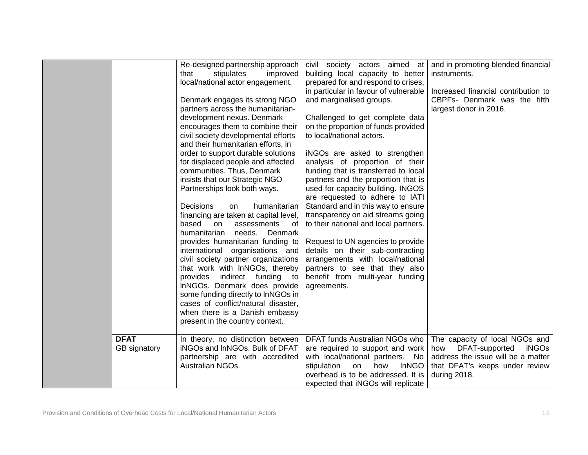|                             | Re-designed partnership approach<br>that<br>stipulates<br>improved<br>local/national actor engagement.<br>Denmark engages its strong NGO<br>partners across the humanitarian-<br>development nexus. Denmark<br>encourages them to combine their<br>civil society developmental efforts<br>and their humanitarian efforts, in<br>order to support durable solutions<br>for displaced people and affected<br>communities. Thus, Denmark<br>insists that our Strategic NGO<br>Partnerships look both ways.<br><b>Decisions</b><br>humanitarian<br>on<br>financing are taken at capital level,<br>based<br>assessments<br>on<br>0f<br>humanitarian<br>needs.<br>Denmark<br>provides humanitarian funding to<br>international organisations and<br>civil society partner organizations<br>that work with InNGOs, thereby<br>indirect funding<br>provides<br>to to<br>InNGOs. Denmark does provide<br>some funding directly to InNGOs in<br>cases of conflict/natural disaster,<br>when there is a Danish embassy<br>present in the country context. | civil society actors aimed at<br>building local capacity to better<br>prepared for and respond to crises,<br>in particular in favour of vulnerable<br>and marginalised groups.<br>Challenged to get complete data<br>on the proportion of funds provided<br>to local/national actors.<br>iNGOs are asked to strengthen<br>analysis of proportion of their<br>funding that is transferred to local<br>partners and the proportion that is<br>used for capacity building. INGOS<br>are requested to adhere to IATI<br>Standard and in this way to ensure<br>transparency on aid streams going<br>to their national and local partners.<br>Request to UN agencies to provide<br>details on their sub-contracting<br>arrangements with local/national<br>partners to see that they also<br>benefit from multi-year funding<br>agreements. | and in promoting blended financial<br>instruments.<br>Increased financial contribution to<br>CBPFs- Denmark was the fifth<br>largest donor in 2016.             |
|-----------------------------|------------------------------------------------------------------------------------------------------------------------------------------------------------------------------------------------------------------------------------------------------------------------------------------------------------------------------------------------------------------------------------------------------------------------------------------------------------------------------------------------------------------------------------------------------------------------------------------------------------------------------------------------------------------------------------------------------------------------------------------------------------------------------------------------------------------------------------------------------------------------------------------------------------------------------------------------------------------------------------------------------------------------------------------------|---------------------------------------------------------------------------------------------------------------------------------------------------------------------------------------------------------------------------------------------------------------------------------------------------------------------------------------------------------------------------------------------------------------------------------------------------------------------------------------------------------------------------------------------------------------------------------------------------------------------------------------------------------------------------------------------------------------------------------------------------------------------------------------------------------------------------------------|-----------------------------------------------------------------------------------------------------------------------------------------------------------------|
| <b>DFAT</b><br>GB signatory | In theory, no distinction between<br>iNGOs and InNGOs. Bulk of DFAT<br>partnership are with accredited<br>Australian NGOs.                                                                                                                                                                                                                                                                                                                                                                                                                                                                                                                                                                                                                                                                                                                                                                                                                                                                                                                     | DFAT funds Australian NGOs who<br>are required to support and work<br>with local/national partners. No<br><b>InNGO</b><br>stipulation<br>on<br>how<br>overhead is to be addressed. It is<br>expected that iNGOs will replicate                                                                                                                                                                                                                                                                                                                                                                                                                                                                                                                                                                                                        | The capacity of local NGOs and<br>DFAT-supported<br><b>iNGOs</b><br>how<br>address the issue will be a matter<br>that DFAT's keeps under review<br>during 2018. |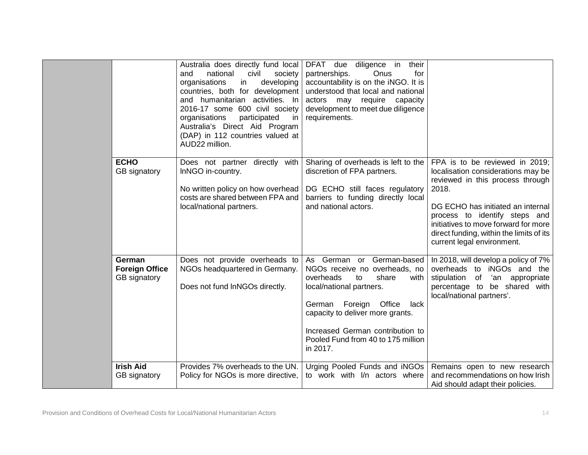|                                                        | Australia does directly fund local<br>national<br>civil<br>and<br>society<br>developing<br>organisations<br>in<br>countries, both for development<br>and humanitarian activities. In<br>2016-17 some 600 civil society<br>participated<br>organisations<br>in<br>Australia's Direct Aid Program<br>(DAP) in 112 countries valued at<br>AUD22 million. | diligence in<br>DFAT due<br>their<br>partnerships.<br>Onus<br>for<br>accountability is on the iNGO. It is<br>understood that local and national<br>actors may require capacity<br>development to meet due diligence<br>requirements.                                                  |                                                                                                                                                                                                                                                                                                           |
|--------------------------------------------------------|-------------------------------------------------------------------------------------------------------------------------------------------------------------------------------------------------------------------------------------------------------------------------------------------------------------------------------------------------------|---------------------------------------------------------------------------------------------------------------------------------------------------------------------------------------------------------------------------------------------------------------------------------------|-----------------------------------------------------------------------------------------------------------------------------------------------------------------------------------------------------------------------------------------------------------------------------------------------------------|
| <b>ECHO</b><br>GB signatory                            | Does not partner directly with<br>InNGO in-country.<br>No written policy on how overhead<br>costs are shared between FPA and<br>local/national partners.                                                                                                                                                                                              | Sharing of overheads is left to the<br>discretion of FPA partners.<br>DG ECHO still faces regulatory<br>barriers to funding directly local<br>and national actors.                                                                                                                    | FPA is to be reviewed in 2019;<br>localisation considerations may be<br>reviewed in this process through<br>2018.<br>DG ECHO has initiated an internal<br>process to identify steps and<br>initiatives to move forward for more<br>direct funding, within the limits of its<br>current legal environment. |
| German<br><b>Foreign Office</b><br><b>GB</b> signatory | Does not provide overheads to<br>NGOs headquartered in Germany.<br>Does not fund InNGOs directly.                                                                                                                                                                                                                                                     | As German or German-based<br>NGOs receive no overheads, no<br>overheads<br>to<br>share<br>with<br>local/national partners.<br>German Foreign Office<br>lack<br>capacity to deliver more grants.<br>Increased German contribution to<br>Pooled Fund from 40 to 175 million<br>in 2017. | In 2018, will develop a policy of 7%<br>overheads to iNGOs and the<br>stipulation of 'an appropriate<br>percentage to be shared with<br>local/national partners'.                                                                                                                                         |
| <b>Irish Aid</b><br>GB signatory                       | Provides 7% overheads to the UN.<br>Policy for NGOs is more directive,                                                                                                                                                                                                                                                                                | Urging Pooled Funds and iNGOs<br>to work with I/n actors where                                                                                                                                                                                                                        | Remains open to new research<br>and recommendations on how Irish<br>Aid should adapt their policies.                                                                                                                                                                                                      |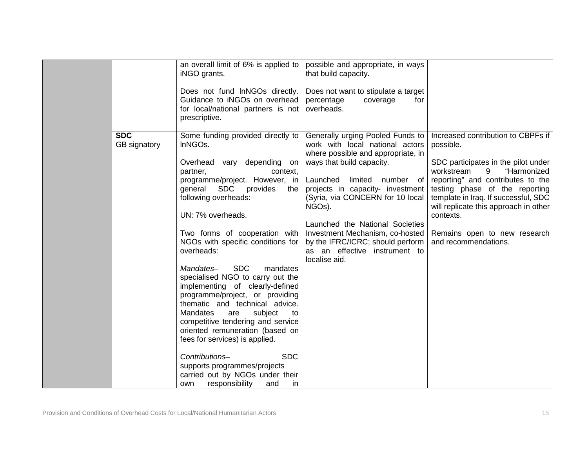|                            | an overall limit of 6% is applied to<br>iNGO grants.<br>Does not fund InNGOs directly.<br>Guidance to iNGOs on overhead<br>for local/national partners is not<br>prescriptive.                                                                                                                                                                                                                                                                                                                                                                                                                                                                                                                                                                                                           | possible and appropriate, in ways<br>that build capacity.<br>Does not want to stipulate a target<br>percentage<br>coverage<br>for<br>overheads.                                                                                                                                                                                                                                                                                    |                                                                                                                                                                                                                                                                                                                                                       |
|----------------------------|------------------------------------------------------------------------------------------------------------------------------------------------------------------------------------------------------------------------------------------------------------------------------------------------------------------------------------------------------------------------------------------------------------------------------------------------------------------------------------------------------------------------------------------------------------------------------------------------------------------------------------------------------------------------------------------------------------------------------------------------------------------------------------------|------------------------------------------------------------------------------------------------------------------------------------------------------------------------------------------------------------------------------------------------------------------------------------------------------------------------------------------------------------------------------------------------------------------------------------|-------------------------------------------------------------------------------------------------------------------------------------------------------------------------------------------------------------------------------------------------------------------------------------------------------------------------------------------------------|
| <b>SDC</b><br>GB signatory | Some funding provided directly to<br>InNGOs.<br>Overhead vary depending on<br>partner,<br>context,<br>programme/project. However, in<br>general SDC<br>provides<br>the<br>following overheads:<br>UN: 7% overheads.<br>Two forms of cooperation with<br>NGOs with specific conditions for<br>overheads:<br><b>SDC</b><br>Mandates-<br>mandates<br>specialised NGO to carry out the<br>implementing of clearly-defined<br>programme/project, or providing<br>thematic and technical advice.<br><b>Mandates</b><br>subject<br>are<br>to<br>competitive tendering and service<br>oriented remuneration (based on<br>fees for services) is applied.<br><b>SDC</b><br>Contributions-<br>supports programmes/projects<br>carried out by NGOs under their<br>responsibility<br>own<br>and<br>in | Generally urging Pooled Funds to<br>work with local national actors<br>where possible and appropriate, in<br>ways that build capacity.<br>Launched<br>limited number of<br>projects in capacity- investment<br>(Syria, via CONCERN for 10 local<br>NGO <sub>s</sub> ).<br>Launched the National Societies<br>Investment Mechanism, co-hosted<br>by the IFRC/ICRC; should perform<br>as an effective instrument to<br>localise aid. | Increased contribution to CBPFs if<br>possible.<br>SDC participates in the pilot under<br>"Harmonized<br>9<br>workstream<br>reporting" and contributes to the<br>testing phase of the reporting<br>template in Iraq. If successful, SDC<br>will replicate this approach in other<br>contexts.<br>Remains open to new research<br>and recommendations. |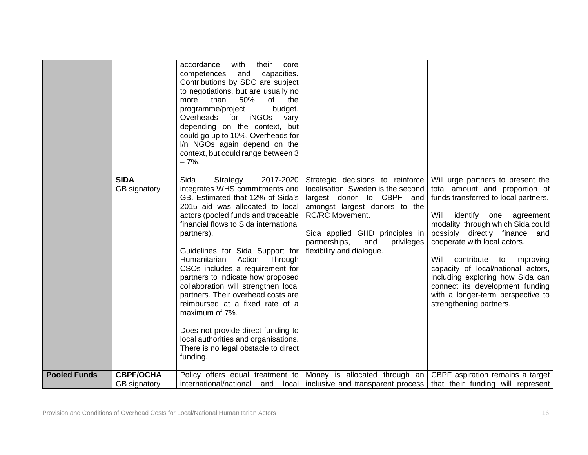|                     | <b>SIDA</b><br>GB signatory | with<br>accordance<br>their<br>core<br>capacities.<br>competences<br>and<br>Contributions by SDC are subject<br>to negotiations, but are usually no<br>than<br>50%<br>of<br>more<br>the<br>programme/project<br>budget.<br>Overheads for iNGOs<br>vary<br>depending on the context, but<br>could go up to 10%. Overheads for<br>I/n NGOs again depend on the<br>context, but could range between 3<br>$-7%$ .<br>2017-2020<br>Sida<br>Strategy<br>integrates WHS commitments and                                                                                                  | Strategic decisions to reinforce<br>localisation: Sweden is the second                                                                                                             | Will urge partners to present the<br>total amount and proportion of                                                                                                                                                                                                                                                                                                                                 |
|---------------------|-----------------------------|-----------------------------------------------------------------------------------------------------------------------------------------------------------------------------------------------------------------------------------------------------------------------------------------------------------------------------------------------------------------------------------------------------------------------------------------------------------------------------------------------------------------------------------------------------------------------------------|------------------------------------------------------------------------------------------------------------------------------------------------------------------------------------|-----------------------------------------------------------------------------------------------------------------------------------------------------------------------------------------------------------------------------------------------------------------------------------------------------------------------------------------------------------------------------------------------------|
|                     |                             | GB. Estimated that 12% of Sida's<br>2015 aid was allocated to local<br>actors (pooled funds and traceable<br>financial flows to Sida international<br>partners).<br>Guidelines for Sida Support for<br>Action Through<br>Humanitarian<br>CSOs includes a requirement for<br>partners to indicate how proposed<br>collaboration will strengthen local<br>partners. Their overhead costs are<br>reimbursed at a fixed rate of a<br>maximum of 7%.<br>Does not provide direct funding to<br>local authorities and organisations.<br>There is no legal obstacle to direct<br>funding. | largest donor to CBPF and<br>amongst largest donors to the<br>RC/RC Movement.<br>Sida applied GHD principles in<br>partnerships,<br>and<br>privileges<br>flexibility and dialogue. | funds transferred to local partners.<br>Will<br>identify one agreement<br>modality, through which Sida could<br>possibly directly finance and<br>cooperate with local actors.<br>Will<br>contribute<br>improving<br>to<br>capacity of local/national actors,<br>including exploring how Sida can<br>connect its development funding<br>with a longer-term perspective to<br>strengthening partners. |
| <b>Pooled Funds</b> | <b>CBPF/OCHA</b>            |                                                                                                                                                                                                                                                                                                                                                                                                                                                                                                                                                                                   | Policy offers equal treatment to Money is allocated through an CBPF aspiration remains a target                                                                                    |                                                                                                                                                                                                                                                                                                                                                                                                     |
|                     | GB signatory                |                                                                                                                                                                                                                                                                                                                                                                                                                                                                                                                                                                                   | international/national and local inclusive and transparent process that their funding will represent                                                                               |                                                                                                                                                                                                                                                                                                                                                                                                     |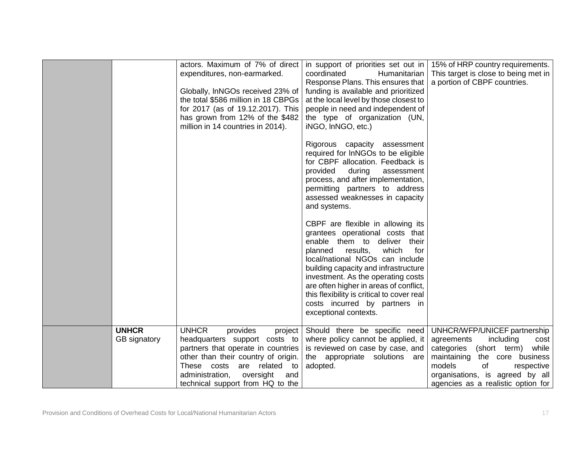|                              | actors. Maximum of 7% of direct<br>expenditures, non-earmarked.<br>Globally, InNGOs received 23% of<br>the total \$586 million in 18 CBPGs<br>for 2017 (as of 19.12.2017). This<br>has grown from 12% of the \$482<br>million in 14 countries in 2014). | in support of priorities set out in<br>coordinated<br>Humanitarian<br>Response Plans. This ensures that<br>funding is available and prioritized<br>at the local level by those closest to<br>people in need and independent of<br>the type of organization (UN,<br>iNGO, InNGO, etc.)<br>Rigorous capacity assessment<br>required for InNGOs to be eligible<br>for CBPF allocation. Feedback is<br>provided<br>during<br>assessment<br>process, and after implementation,<br>permitting partners to address<br>assessed weaknesses in capacity<br>and systems.<br>CBPF are flexible in allowing its<br>grantees operational costs that<br>enable them to deliver<br>their<br>results,<br>which<br>planned<br>for<br>local/national NGOs can include<br>building capacity and infrastructure<br>investment. As the operating costs<br>are often higher in areas of conflict,<br>this flexibility is critical to cover real<br>costs incurred by partners in<br>exceptional contexts. | 15% of HRP country requirements.<br>This target is close to being met in<br>a portion of CBPF countries.                                                              |
|------------------------------|---------------------------------------------------------------------------------------------------------------------------------------------------------------------------------------------------------------------------------------------------------|-------------------------------------------------------------------------------------------------------------------------------------------------------------------------------------------------------------------------------------------------------------------------------------------------------------------------------------------------------------------------------------------------------------------------------------------------------------------------------------------------------------------------------------------------------------------------------------------------------------------------------------------------------------------------------------------------------------------------------------------------------------------------------------------------------------------------------------------------------------------------------------------------------------------------------------------------------------------------------------|-----------------------------------------------------------------------------------------------------------------------------------------------------------------------|
| <b>UNHCR</b><br>GB signatory | <b>UNHCR</b><br>provides<br>project<br>headquarters support costs to<br>partners that operate in countries<br>other than their country of origin.<br>These costs are related to                                                                         | Should there be specific need<br>where policy cannot be applied, it<br>is reviewed on case by case, and<br>the appropriate solutions are<br>adopted.                                                                                                                                                                                                                                                                                                                                                                                                                                                                                                                                                                                                                                                                                                                                                                                                                                | UNHCR/WFP/UNICEF partnership<br>including<br>agreements<br>cost<br>categories (short term)<br>while<br>maintaining<br>the core business<br>models<br>of<br>respective |
|                              | administration,<br>oversight<br>and<br>technical support from HQ to the                                                                                                                                                                                 |                                                                                                                                                                                                                                                                                                                                                                                                                                                                                                                                                                                                                                                                                                                                                                                                                                                                                                                                                                                     | organisations, is agreed by all<br>agencies as a realistic option for                                                                                                 |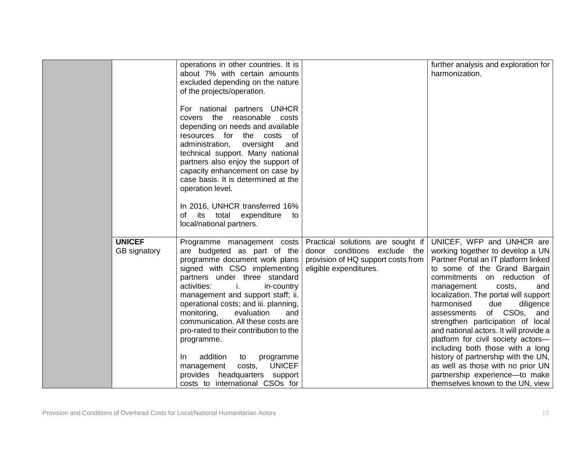|               | operations in other countries. It is<br>about 7% with certain amounts<br>excluded depending on the nature<br>of the projects/operation.<br>For national partners UNHCR<br>covers the reasonable costs<br>depending on needs and available<br>resources for the costs of<br>administration,<br>oversight<br>and<br>technical support. Many national<br>partners also enjoy the support of<br>capacity enhancement on case by<br>case basis. It is determined at the<br>operation level.<br>In 2016, UNHCR transferred 16% |                                    | further analysis and exploration for<br>harmonization.               |
|---------------|--------------------------------------------------------------------------------------------------------------------------------------------------------------------------------------------------------------------------------------------------------------------------------------------------------------------------------------------------------------------------------------------------------------------------------------------------------------------------------------------------------------------------|------------------------------------|----------------------------------------------------------------------|
|               |                                                                                                                                                                                                                                                                                                                                                                                                                                                                                                                          |                                    |                                                                      |
|               | its total expenditure<br>of<br>to                                                                                                                                                                                                                                                                                                                                                                                                                                                                                        |                                    |                                                                      |
|               | local/national partners.                                                                                                                                                                                                                                                                                                                                                                                                                                                                                                 |                                    |                                                                      |
|               |                                                                                                                                                                                                                                                                                                                                                                                                                                                                                                                          |                                    |                                                                      |
| <b>UNICEF</b> | Programme management costs                                                                                                                                                                                                                                                                                                                                                                                                                                                                                               | Practical solutions are sought if  | UNICEF, WFP and UNHCR are                                            |
| GB signatory  | are budgeted as part of the                                                                                                                                                                                                                                                                                                                                                                                                                                                                                              | donor conditions exclude the       | working together to develop a UN                                     |
|               | programme document work plans                                                                                                                                                                                                                                                                                                                                                                                                                                                                                            | provision of HQ support costs from | Partner Portal an IT platform linked                                 |
|               | signed with CSO implementing                                                                                                                                                                                                                                                                                                                                                                                                                                                                                             | eligible expenditures.             | to some of the Grand Bargain                                         |
|               | partners under three standard                                                                                                                                                                                                                                                                                                                                                                                                                                                                                            |                                    | commitments on reduction of                                          |
|               | activities:<br>j.<br>in-country<br>management and support staff; ii.                                                                                                                                                                                                                                                                                                                                                                                                                                                     |                                    | management<br>costs,<br>and<br>localization. The portal will support |
|               | operational costs; and iii. planning,                                                                                                                                                                                                                                                                                                                                                                                                                                                                                    |                                    | harmonised<br>due<br>diligence                                       |
|               | monitoring,<br>evaluation<br>and                                                                                                                                                                                                                                                                                                                                                                                                                                                                                         |                                    | of CSOs,<br>and<br>assessments                                       |
|               | communication. All these costs are                                                                                                                                                                                                                                                                                                                                                                                                                                                                                       |                                    | strengthen participation of local                                    |
|               | pro-rated to their contribution to the                                                                                                                                                                                                                                                                                                                                                                                                                                                                                   |                                    | and national actors. It will provide a                               |
|               | programme.                                                                                                                                                                                                                                                                                                                                                                                                                                                                                                               |                                    | platform for civil society actors-                                   |
|               |                                                                                                                                                                                                                                                                                                                                                                                                                                                                                                                          |                                    | including both those with a long                                     |
|               | addition<br>In.<br>to<br>programme                                                                                                                                                                                                                                                                                                                                                                                                                                                                                       |                                    | history of partnership with the UN,                                  |
|               | <b>UNICEF</b><br>costs,<br>management                                                                                                                                                                                                                                                                                                                                                                                                                                                                                    |                                    | as well as those with no prior UN                                    |
|               | provides headquarters support                                                                                                                                                                                                                                                                                                                                                                                                                                                                                            |                                    | partnership experience-to make                                       |
|               | costs to international CSOs for                                                                                                                                                                                                                                                                                                                                                                                                                                                                                          |                                    | themselves known to the UN, view                                     |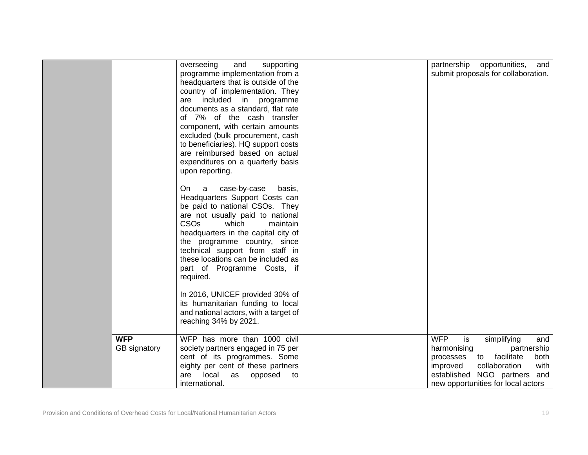|              | overseeing<br>supporting<br>and<br>programme implementation from a                 | partnership<br>opportunities,<br>and<br>submit proposals for collaboration. |
|--------------|------------------------------------------------------------------------------------|-----------------------------------------------------------------------------|
|              | headquarters that is outside of the                                                |                                                                             |
|              | country of implementation. They                                                    |                                                                             |
|              | are included in programme                                                          |                                                                             |
|              | documents as a standard, flat rate                                                 |                                                                             |
|              | of 7% of the cash transfer                                                         |                                                                             |
|              | component, with certain amounts                                                    |                                                                             |
|              | excluded (bulk procurement, cash                                                   |                                                                             |
|              | to beneficiaries). HQ support costs<br>are reimbursed based on actual              |                                                                             |
|              | expenditures on a quarterly basis                                                  |                                                                             |
|              | upon reporting.                                                                    |                                                                             |
|              |                                                                                    |                                                                             |
|              | case-by-case<br>On<br>basis,<br>a                                                  |                                                                             |
|              | Headquarters Support Costs can                                                     |                                                                             |
|              | be paid to national CSOs. They                                                     |                                                                             |
|              | are not usually paid to national                                                   |                                                                             |
|              | <b>CSO<sub>s</sub></b><br>which<br>maintain<br>headquarters in the capital city of |                                                                             |
|              | the programme country, since                                                       |                                                                             |
|              | technical support from staff in                                                    |                                                                             |
|              | these locations can be included as                                                 |                                                                             |
|              | part of Programme Costs, if                                                        |                                                                             |
|              | required.                                                                          |                                                                             |
|              | In 2016, UNICEF provided 30% of                                                    |                                                                             |
|              | its humanitarian funding to local                                                  |                                                                             |
|              | and national actors, with a target of                                              |                                                                             |
|              | reaching 34% by 2021.                                                              |                                                                             |
|              |                                                                                    |                                                                             |
| <b>WFP</b>   | WFP has more than 1000 civil                                                       | <b>WFP</b><br>is<br>simplifying<br>and                                      |
| GB signatory | society partners engaged in 75 per                                                 | harmonising<br>partnership                                                  |
|              | cent of its programmes. Some                                                       | facilitate<br>both<br>processes<br>to<br>with                               |
|              | eighty per cent of these partners<br>local<br>are<br>as<br>opposed<br>to           | improved<br>collaboration<br>established NGO partners and                   |
|              | international.                                                                     | new opportunities for local actors                                          |
|              |                                                                                    |                                                                             |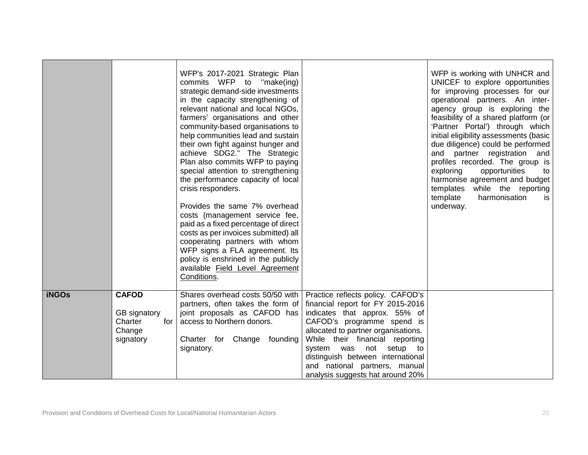|              |                                                                       | WFP's 2017-2021 Strategic Plan<br>commits WFP to "make(ing)<br>strategic demand-side investments<br>in the capacity strengthening of<br>relevant national and local NGOs,<br>farmers' organisations and other<br>community-based organisations to<br>help communities lead and sustain<br>their own fight against hunger and<br>achieve SDG2." The Strategic<br>Plan also commits WFP to paying<br>special attention to strengthening<br>the performance capacity of local<br>crisis responders.<br>Provides the same 7% overhead<br>costs (management service fee,<br>paid as a fixed percentage of direct<br>costs as per invoices submitted) all<br>cooperating partners with whom<br>WFP signs a FLA agreement. Its<br>policy is enshrined in the publicly<br>available Field Level Agreement<br>Conditions. |                                                                                                                                                                                                                                                                                                                 | WFP is working with UNHCR and<br>UNICEF to explore opportunities<br>for improving processes for our<br>operational partners. An inter-<br>agency group is exploring the<br>feasibility of a shared platform (or<br>'Partner Portal') through which<br>initial eligibility assessments (basic<br>due diligence) could be performed<br>and partner registration<br>and<br>profiles recorded. The group is<br>exploring<br>opportunities<br>to<br>harmonise agreement and budget<br>templates while the reporting<br>template<br>harmonisation<br>is.<br>underway. |
|--------------|-----------------------------------------------------------------------|------------------------------------------------------------------------------------------------------------------------------------------------------------------------------------------------------------------------------------------------------------------------------------------------------------------------------------------------------------------------------------------------------------------------------------------------------------------------------------------------------------------------------------------------------------------------------------------------------------------------------------------------------------------------------------------------------------------------------------------------------------------------------------------------------------------|-----------------------------------------------------------------------------------------------------------------------------------------------------------------------------------------------------------------------------------------------------------------------------------------------------------------|-----------------------------------------------------------------------------------------------------------------------------------------------------------------------------------------------------------------------------------------------------------------------------------------------------------------------------------------------------------------------------------------------------------------------------------------------------------------------------------------------------------------------------------------------------------------|
| <b>iNGOs</b> | <b>CAFOD</b><br>GB signatory<br>Charter<br>for<br>Change<br>signatory | Shares overhead costs 50/50 with   Practice reflects policy. CAFOD's<br>partners, often takes the form of<br>joint proposals as CAFOD has<br>access to Northern donors.<br>Charter for Change founding<br>signatory.                                                                                                                                                                                                                                                                                                                                                                                                                                                                                                                                                                                             | financial report for FY 2015-2016<br>indicates that approx. 55% of<br>CAFOD's programme spend is<br>allocated to partner organisations.<br>While their financial reporting<br>system was not setup to<br>distinguish between international<br>and national partners, manual<br>analysis suggests hat around 20% |                                                                                                                                                                                                                                                                                                                                                                                                                                                                                                                                                                 |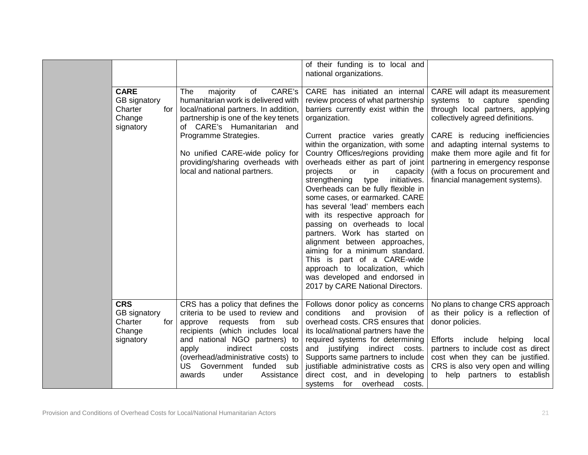|            |                                                                      |                                                                                                                                                                                                                                                                                                                       | of their funding is to local and<br>national organizations.                                                                                                                                                                                                                                                                                                                                                                                                                                                                                                                                                                                                                                                                                                                             |                                                                                                                                                                                                                                                                                                                                                             |
|------------|----------------------------------------------------------------------|-----------------------------------------------------------------------------------------------------------------------------------------------------------------------------------------------------------------------------------------------------------------------------------------------------------------------|-----------------------------------------------------------------------------------------------------------------------------------------------------------------------------------------------------------------------------------------------------------------------------------------------------------------------------------------------------------------------------------------------------------------------------------------------------------------------------------------------------------------------------------------------------------------------------------------------------------------------------------------------------------------------------------------------------------------------------------------------------------------------------------------|-------------------------------------------------------------------------------------------------------------------------------------------------------------------------------------------------------------------------------------------------------------------------------------------------------------------------------------------------------------|
|            | <b>CARE</b><br>GB signatory<br>Charter<br>for<br>Change<br>signatory | CARE's<br>majority<br>of<br>The<br>humanitarian work is delivered with<br>local/national partners. In addition,<br>partnership is one of the key tenets<br>of CARE's Humanitarian and<br>Programme Strategies.<br>No unified CARE-wide policy for<br>providing/sharing overheads with<br>local and national partners. | CARE has initiated an internal<br>review process of what partnership<br>barriers currently exist within the<br>organization.<br>Current practice varies greatly<br>within the organization, with some<br>Country Offices/regions providing<br>overheads either as part of joint<br>in<br>capacity<br>projects<br>or<br>strengthening<br>initiatives.<br>type<br>Overheads can be fully flexible in<br>some cases, or earmarked. CARE<br>has several 'lead' members each<br>with its respective approach for<br>passing on overheads to local<br>partners. Work has started on<br>alignment between approaches,<br>aiming for a minimum standard.<br>This is part of a CARE-wide<br>approach to localization, which<br>was developed and endorsed in<br>2017 by CARE National Directors. | CARE will adapt its measurement<br>systems to capture spending<br>through local partners, applying<br>collectively agreed definitions.<br>CARE is reducing inefficiencies<br>and adapting internal systems to<br>make them more agile and fit for<br>partnering in emergency response<br>(with a focus on procurement and<br>financial management systems). |
| <b>CRS</b> | GB signatory<br>Charter<br>for<br>Change<br>signatory                | CRS has a policy that defines the<br>criteria to be used to review and<br>requests<br>from<br>approve<br>sub<br>recipients (which includes local<br>and national NGO partners) to<br>indirect<br>apply<br>costs<br>(overhead/administrative costs) to<br>US Government funded sub<br>awards<br>under<br>Assistance    | Follows donor policy as concerns<br>conditions and provision<br>of<br>overhead costs. CRS ensures that<br>its local/national partners have the<br>required systems for determining<br>and justifying indirect costs.<br>Supports same partners to include<br>justifiable administrative costs as<br>direct cost, and in developing<br>systems for overhead<br>costs.                                                                                                                                                                                                                                                                                                                                                                                                                    | No plans to change CRS approach<br>as their policy is a reflection of<br>donor policies.<br>Efforts<br>include helping<br>local<br>partners to include cost as direct<br>cost when they can be justified.<br>CRS is also very open and willing<br>help partners to establish<br>to                                                                          |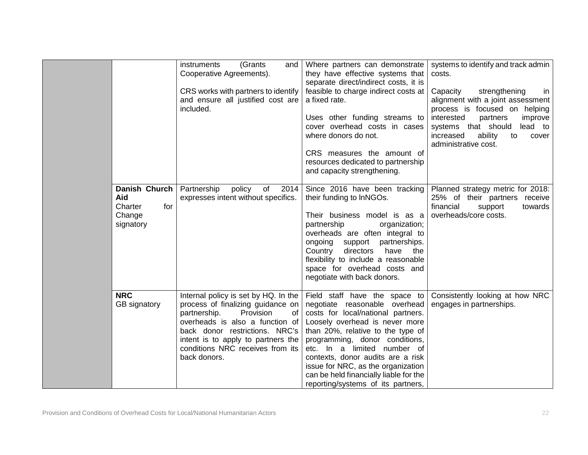|            |                                                        | instruments<br>(Grants)<br>and<br>Cooperative Agreements).<br>CRS works with partners to identify<br>and ensure all justified cost are<br>included.                                                                                 | Where partners can demonstrate<br>they have effective systems that<br>separate direct/indirect costs, it is<br>feasible to charge indirect costs at<br>a fixed rate.<br>Uses other funding streams to<br>cover overhead costs in cases<br>where donors do not.<br>CRS measures the amount of<br>resources dedicated to partnership<br>and capacity strengthening.                                                                                    | systems to identify and track admin<br>costs.<br>strengthening<br>Capacity<br>in<br>alignment with a joint assessment<br>process is focused on helping<br>interested<br>partners<br>improve<br>systems that should<br>lead to<br>increased<br>ability<br>to<br>cover<br>administrative cost. |
|------------|--------------------------------------------------------|-------------------------------------------------------------------------------------------------------------------------------------------------------------------------------------------------------------------------------------|------------------------------------------------------------------------------------------------------------------------------------------------------------------------------------------------------------------------------------------------------------------------------------------------------------------------------------------------------------------------------------------------------------------------------------------------------|----------------------------------------------------------------------------------------------------------------------------------------------------------------------------------------------------------------------------------------------------------------------------------------------|
| Aid        | Danish Church<br>Charter<br>for<br>Change<br>signatory | Partnership<br>policy<br>of<br>2014<br>expresses intent without specifics.                                                                                                                                                          | Since 2016 have been tracking<br>their funding to InNGOs.<br>Their business model is as a<br>partnership<br>organization;<br>overheads are often integral to<br>ongoing support partnerships.<br>directors<br>Country<br>have the<br>flexibility to include a reasonable<br>space for overhead costs and<br>negotiate with back donors.                                                                                                              | Planned strategy metric for 2018:<br>25% of their partners receive<br>financial<br>support<br>towards<br>overheads/core costs.                                                                                                                                                               |
| <b>NRC</b> | GB signatory                                           | process of finalizing guidance on<br>Provision<br>partnership.<br>of<br>overheads is also a function of<br>back donor restrictions. NRC's<br>intent is to apply to partners the<br>conditions NRC receives from its<br>back donors. | Internal policy is set by HQ. In the $\vert$ Field staff have the space to<br>negotiate reasonable overhead<br>costs for local/national partners.<br>Loosely overhead is never more<br>than 20%, relative to the type of<br>programming, donor conditions,<br>etc. In a limited number of<br>contexts, donor audits are a risk<br>issue for NRC, as the organization<br>can be held financially liable for the<br>reporting/systems of its partners, | Consistently looking at how NRC<br>engages in partnerships.                                                                                                                                                                                                                                  |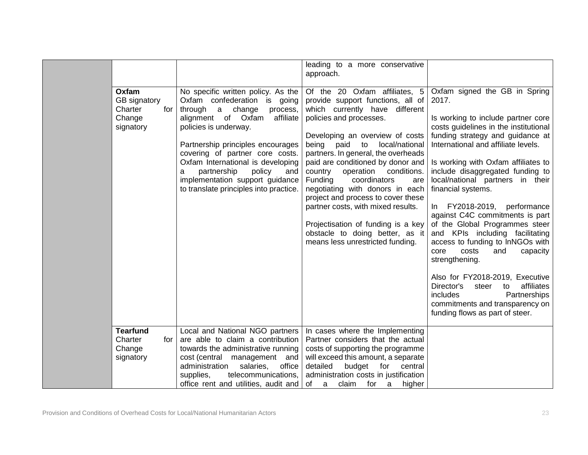|                                                                |                                                                                                                                                                                                                                                                                                                                                                                                  | leading to a more conservative<br>approach.                                                                                                                                                                                                                                                                                                                                                                                                                                                                                                                                                |                                                                                                                                                                                                                                                                                                                                                                                                                                                                                                                                                                                                                                                                                                                                                        |
|----------------------------------------------------------------|--------------------------------------------------------------------------------------------------------------------------------------------------------------------------------------------------------------------------------------------------------------------------------------------------------------------------------------------------------------------------------------------------|--------------------------------------------------------------------------------------------------------------------------------------------------------------------------------------------------------------------------------------------------------------------------------------------------------------------------------------------------------------------------------------------------------------------------------------------------------------------------------------------------------------------------------------------------------------------------------------------|--------------------------------------------------------------------------------------------------------------------------------------------------------------------------------------------------------------------------------------------------------------------------------------------------------------------------------------------------------------------------------------------------------------------------------------------------------------------------------------------------------------------------------------------------------------------------------------------------------------------------------------------------------------------------------------------------------------------------------------------------------|
| Oxfam<br>GB signatory<br>Charter<br>for<br>Change<br>signatory | No specific written policy. As the<br>Oxfam confederation is going<br>a change<br>through<br>process,<br>affiliate<br>alignment of Oxfam<br>policies is underway.<br>Partnership principles encourages<br>covering of partner core costs.<br>Oxfam International is developing<br>partnership<br>policy<br>and<br>a<br>implementation support guidance<br>to translate principles into practice. | Of the 20 Oxfam affiliates, 5<br>provide support functions, all of<br>which currently have different<br>policies and processes.<br>Developing an overview of costs<br>being paid to<br>local/national<br>partners. In general, the overheads<br>paid are conditioned by donor and<br>operation conditions.<br>country<br>coordinators<br><b>Funding</b><br>are<br>negotiating with donors in each<br>project and process to cover these<br>partner costs, with mixed results.<br>Projectisation of funding is a key<br>obstacle to doing better, as it<br>means less unrestricted funding. | Oxfam signed the GB in Spring<br>2017.<br>Is working to include partner core<br>costs guidelines in the institutional<br>funding strategy and guidance at<br>International and affiliate levels.<br>Is working with Oxfam affiliates to<br>include disaggregated funding to<br>local/national partners in their<br>financial systems.<br>In FY2018-2019, performance<br>against C4C commitments is part<br>of the Global Programmes steer<br>and KPIs including facilitating<br>access to funding to InNGOs with<br>core<br>costs<br>and<br>capacity<br>strengthening.<br>Also for FY2018-2019, Executive<br>affiliates<br>Director's<br>steer<br>to<br>includes<br>Partnerships<br>commitments and transparency on<br>funding flows as part of steer. |
| <b>Tearfund</b><br>Charter<br>for<br>Change<br>signatory       | Local and National NGO partners<br>are able to claim a contribution<br>towards the administrative running<br>cost (central management and<br>office<br>administration<br>salaries,<br>supplies,<br>telecommunications,<br>office rent and utilities, audit and                                                                                                                                   | In cases where the Implementing<br>Partner considers that the actual<br>costs of supporting the programme<br>will exceed this amount, a separate<br>detailed<br>budget<br>for<br>central<br>administration costs in justification<br>of<br>claim<br>for<br>higher<br>a<br>a                                                                                                                                                                                                                                                                                                                |                                                                                                                                                                                                                                                                                                                                                                                                                                                                                                                                                                                                                                                                                                                                                        |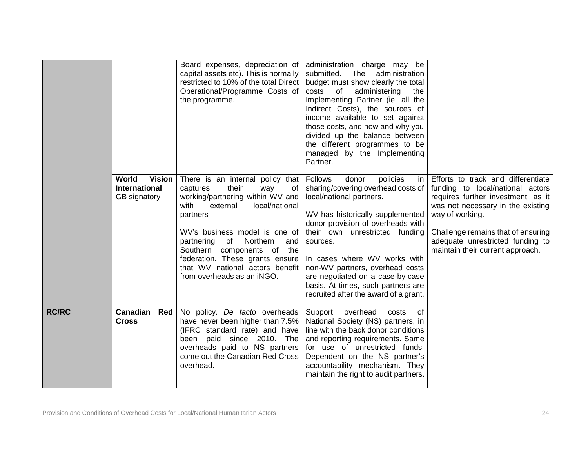|              |                                                                | Board expenses, depreciation of<br>capital assets etc). This is normally<br>restricted to 10% of the total Direct<br>Operational/Programme Costs of<br>the programme.                                                                                                                                                                                              | administration charge may be<br>submitted. The administration<br>budget must show clearly the total<br>costs<br>of<br>administering<br>the<br>Implementing Partner (ie. all the<br>Indirect Costs), the sources of<br>income available to set against<br>those costs, and how and why you<br>divided up the balance between<br>the different programmes to be<br>managed by the Implementing<br>Partner.                  |                                                                                                                                                                                                                                                                                    |
|--------------|----------------------------------------------------------------|--------------------------------------------------------------------------------------------------------------------------------------------------------------------------------------------------------------------------------------------------------------------------------------------------------------------------------------------------------------------|---------------------------------------------------------------------------------------------------------------------------------------------------------------------------------------------------------------------------------------------------------------------------------------------------------------------------------------------------------------------------------------------------------------------------|------------------------------------------------------------------------------------------------------------------------------------------------------------------------------------------------------------------------------------------------------------------------------------|
|              | World<br><b>Vision</b><br><b>International</b><br>GB signatory | There is an internal policy that<br>captures<br>their<br>way<br>of<br>working/partnering within WV and<br>with<br>external<br>local/national<br>partners<br>WV's business model is one of<br>partnering<br>of<br>Northern<br>and<br>Southern components of the<br>federation. These grants ensure<br>that WV national actors benefit<br>from overheads as an iNGO. | <b>Follows</b><br>policies<br>donor<br>in.<br>sharing/covering overhead costs of<br>local/national partners.<br>WV has historically supplemented<br>donor provision of overheads with<br>their own unrestricted funding<br>sources.<br>In cases where WV works with<br>non-WV partners, overhead costs<br>are negotiated on a case-by-case<br>basis. At times, such partners are<br>recruited after the award of a grant. | Efforts to track and differentiate<br>funding to local/national actors<br>requires further investment, as it<br>was not necessary in the existing<br>way of working.<br>Challenge remains that of ensuring<br>adequate unrestricted funding to<br>maintain their current approach. |
| <b>RC/RC</b> | Canadian<br>Red<br><b>Cross</b>                                | No policy. De facto overheads<br>have never been higher than 7.5%<br>(IFRC standard rate) and have<br>been paid since 2010. The<br>overheads paid to NS partners<br>come out the Canadian Red Cross<br>overhead.                                                                                                                                                   | overhead<br>Support<br>costs<br>0f<br>National Society (NS) partners, in<br>line with the back donor conditions<br>and reporting requirements. Same<br>for use of unrestricted funds.<br>Dependent on the NS partner's<br>accountability mechanism. They<br>maintain the right to audit partners.                                                                                                                         |                                                                                                                                                                                                                                                                                    |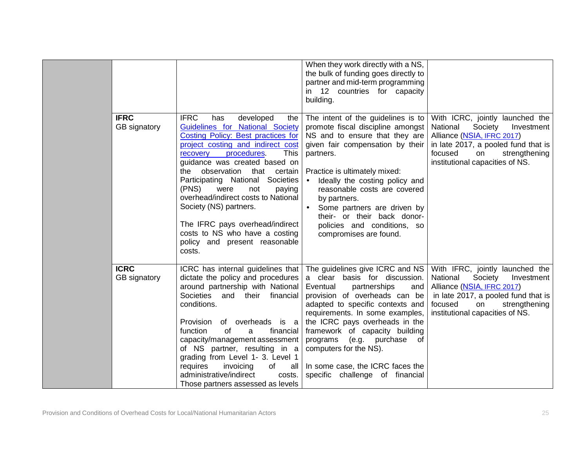|                             |                                                                                                                                                                                                                                                                                                                                                                                                                                                                                                                                  | When they work directly with a NS,<br>the bulk of funding goes directly to<br>partner and mid-term programming<br>in 12 countries for capacity<br>building.                                                                                                                                                                                                                                                                                      |                                                                                                                                                                                                                |
|-----------------------------|----------------------------------------------------------------------------------------------------------------------------------------------------------------------------------------------------------------------------------------------------------------------------------------------------------------------------------------------------------------------------------------------------------------------------------------------------------------------------------------------------------------------------------|--------------------------------------------------------------------------------------------------------------------------------------------------------------------------------------------------------------------------------------------------------------------------------------------------------------------------------------------------------------------------------------------------------------------------------------------------|----------------------------------------------------------------------------------------------------------------------------------------------------------------------------------------------------------------|
| <b>IFRC</b><br>GB signatory | <b>IFRC</b><br>has<br>developed<br>the<br>Guidelines for National Society<br><b>Costing Policy: Best practices for</b><br>project costing and indirect cost<br>procedures.<br><b>This</b><br>recovery<br>guidance was created based on<br>observation that certain<br>the<br>Participating National Societies<br>(PNS)<br>were<br>not<br>paying<br>overhead/indirect costs to National<br>Society (NS) partners.<br>The IFRC pays overhead/indirect<br>costs to NS who have a costing<br>policy and present reasonable<br>costs. | The intent of the guidelines is to<br>promote fiscal discipline amongst<br>NS and to ensure that they are<br>given fair compensation by their<br>partners.<br>Practice is ultimately mixed:<br>Ideally the costing policy and<br>$\bullet$<br>reasonable costs are covered<br>by partners.<br>Some partners are driven by<br>their- or their back donor-<br>policies and conditions, so<br>compromises are found.                                | With ICRC, jointly launched the<br>National<br>Society<br>Investment<br>Alliance (NSIA, IFRC 2017)<br>in late 2017, a pooled fund that is<br>focused<br>strengthening<br>on<br>institutional capacities of NS. |
| <b>ICRC</b><br>GB signatory | dictate the policy and procedures<br>around partnership with National<br>Societies and their financial<br>conditions.<br>Provision of overheads is a<br>of<br>function<br>a<br>financial<br>capacity/management assessment<br>of NS partner, resulting in $a \mid$<br>grading from Level 1- 3. Level 1<br>requires<br>invoicing<br>of<br>all<br>administrative/indirect<br>costs.<br>Those partners assessed as levels                                                                                                           | ICRC has internal guidelines that The guidelines give ICRC and NS<br>a clear basis for discussion.<br>Eventual<br>partnerships<br>and<br>provision of overheads can be<br>adapted to specific contexts and<br>requirements. In some examples,<br>the ICRC pays overheads in the<br>framework of capacity building<br>programs (e.g. purchase of<br>computers for the NS).<br>In some case, the ICRC faces the<br>specific challenge of financial | With IFRC, jointly launched the<br>National<br>Society<br>Investment<br>Alliance (NSIA, IFRC 2017)<br>in late 2017, a pooled fund that is<br>focused<br>on<br>strengthening<br>institutional capacities of NS. |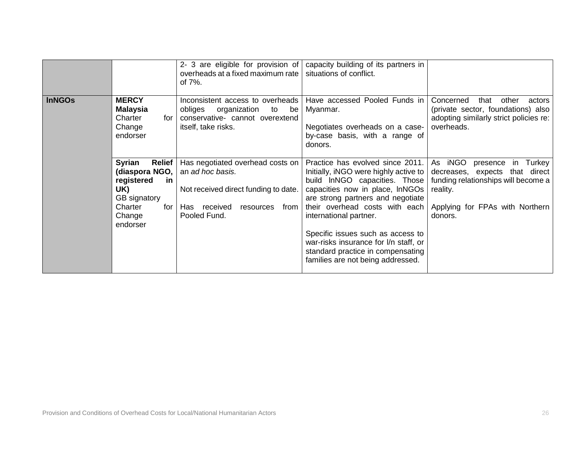|               |                                                                                                                        | 2- 3 are eligible for provision of<br>overheads at a fixed maximum rate<br>of $7\%$ .                                                                       | capacity building of its partners in<br>situations of conflict.                                                                                                                                                                                                                                                                                                                                        |                                                                                                                                                                     |
|---------------|------------------------------------------------------------------------------------------------------------------------|-------------------------------------------------------------------------------------------------------------------------------------------------------------|--------------------------------------------------------------------------------------------------------------------------------------------------------------------------------------------------------------------------------------------------------------------------------------------------------------------------------------------------------------------------------------------------------|---------------------------------------------------------------------------------------------------------------------------------------------------------------------|
| <b>InNGOs</b> | <b>MERCY</b><br><b>Malaysia</b><br>Charter<br>for<br>Change<br>endorser                                                | Inconsistent access to overheads<br>obliges<br>organization<br>to<br>be<br>conservative- cannot overextend<br>itself, take risks.                           | Have accessed Pooled Funds in<br>Myanmar.<br>Negotiates overheads on a case-<br>by-case basis, with a range of<br>donors.                                                                                                                                                                                                                                                                              | Concerned<br>other<br>that<br>actors<br>(private sector, foundations) also<br>adopting similarly strict policies re:<br>overheads.                                  |
|               | Syrian<br>Relief<br>(diaspora NGO,<br>registered<br>.in<br>UK)<br>GB signatory<br>Charter<br>for<br>Change<br>endorser | Has negotiated overhead costs on<br>an ad hoc basis.<br>Not received direct funding to date.<br>received<br>from<br><b>Has</b><br>resources<br>Pooled Fund. | Practice has evolved since 2011.<br>Initially, iNGO were highly active to<br>build InNGO capacities. Those<br>capacities now in place, InNGOs<br>are strong partners and negotiate<br>their overhead costs with each<br>international partner.<br>Specific issues such as access to<br>war-risks insurance for I/n staff, or<br>standard practice in compensating<br>families are not being addressed. | As iNGO<br>presence<br>in Turkey<br>decreases, expects that direct<br>funding relationships will become a<br>reality.<br>Applying for FPAs with Northern<br>donors. |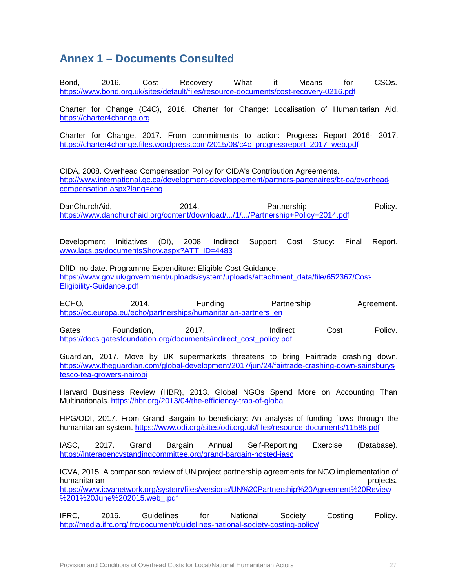## **Annex 1 – Documents Consulted**

Bond, 2016. Cost Recovery What it Means for CSOs. <https://www.bond.org.uk/sites/default/files/resource-documents/cost-recovery-0216.pdf>

Charter for Change (C4C), 2016. Charter for Change: Localisation of Humanitarian Aid. <https://charter4change.org>

Charter for Change, 2017. From commitments to action: Progress Report 2016- 2017. [https://charter4change.files.wordpress.com/2015/08/c4c\\_progressreport\\_2017\\_web.pdf](https://charter4change.files.wordpress.com/2015/08/c4c_progressreport_2017_web.pdf)

CIDA, 2008. Overhead Compensation Policy for CIDA's Contribution Agreements. <http://www.international.gc.ca/development-developpement/partners-partenaires/bt-oa/overhead>compensation.aspx?lang=eng

DanChurchAid, 2014. Partnership Policy. <https://www.danchurchaid.org/content/download/.../1/.../Partnership+Policy+2014.pdf>

Development Initiatives (DI), 2008. Indirect Support Cost Study: Final Report. [www.lacs.ps/documentsShow.aspx?ATT\\_ID=4483](http://www.lacs.ps/documentsShow.aspx?ATT_ID=4483)

DfID, no date. Programme Expenditure: Eligible Cost Guidance. [https://www.gov.uk/government/uploads/system/uploads/attachment\\_data/file/652367/Cost-](https://www.gov.uk/government/uploads/system/uploads/attachment_data/file/652367/Cost)Eligibility-Guidance.pdf

ECHO, 2014. Funding Partnership Agreement. [https://ec.europa.eu/echo/partnerships/humanitarian-partners\\_en](https://ec.europa.eu/echo/partnerships/humanitarian-partners_en)

Gates Foundation, 2017. Indirect Cost Policy. [https://docs.gatesfoundation.org/documents/indirect\\_cost\\_policy.pdf](https://docs.gatesfoundation.org/documents/indirect_cost_policy.pdf)

Guardian, 2017. Move by UK supermarkets threatens to bring Fairtrade crashing down. <https://www.theguardian.com/global-development/2017/jun/24/fairtrade-crashing-down-sainsburys>tesco-tea-growers-nairobi

Harvard Business Review (HBR), 2013. Global NGOs Spend More on Accounting Than Multinationals. <https://hbr.org/2013/04/the-efficiency-trap-of-global>

HPG/ODI, 2017. From Grand Bargain to beneficiary: An analysis of funding flows through the humanitarian system.<https://www.odi.org/sites/odi.org.uk/files/resource-documents/11588.pdf>

IASC, 2017. Grand Bargain Annual Self-Reporting Exercise (Database). <https://interagencystandingcommittee.org/grand-bargain-hosted-iasc>

ICVA, 2015. A comparison review of UN project partnership agreements for NGO implementation of humanitarian projects. A series of the series of the series of the series of the series of the series of the s

<https://www.icvanetwork.org/system/files/versions/UN%20Partnership%20Agreement%20Review> %201%20June%202015.web\_.pdf

IFRC, 2016. Guidelines for National Society Costing Policy. <http://media.ifrc.org/ifrc/document/guidelines-national-society-costing-policy/>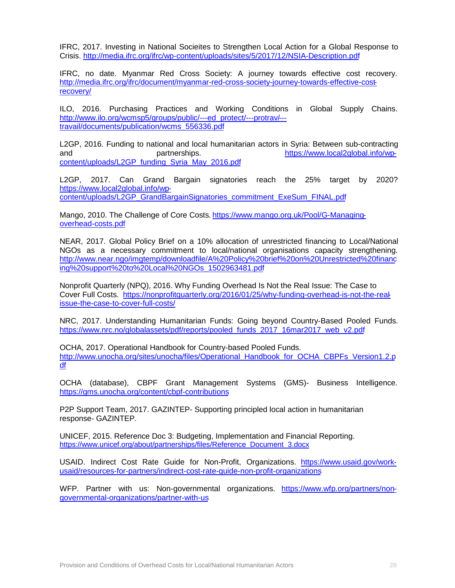IFRC, 2017. Investing in National Socieites to Strengthen Local Action for a Global Response to Crisis. <http://media.ifrc.org/ifrc/wp-content/uploads/sites/5/2017/12/NSIA-Description.pdf>

IFRC, no date. Myanmar Red Cross Society: A journey towards effective cost recovery. <http://media.ifrc.org/ifrc/document/myanmar-red-cross-society-journey-towards-effective-cost>recovery/

ILO, 2016. Purchasing Practices and Working Conditions in Global Supply Chains. [http://www.ilo.org/wcmsp5/groups/public/---ed\\_protect/---protrav/-](http://www.ilo.org/wcmsp5/groups/public/---ed_protect/---protrav/)- travail/documents/publication/wcms\_556336.pdf

L2GP, 2016. Funding to national and local humanitarian actors in Syria: Between sub-contracting and partnerships. but partnerships. <https://www.local2global.info/wp>content/uploads/L2GP\_funding\_Syria\_May\_2016.pdf

L2GP, 2017. Can Grand Bargain signatories reach the 25% target by 2020? <https://www.local2global.info/wp>-

content/uploads/L2GP\_GrandBargainSignatories\_commitment\_ExeSum\_FINAL.pdf

Mango, 2010. The Challenge of Core Costs.<https://www.mango.org.uk/Pool/G-Managing>overhead-costs.pdf

NEAR, 2017. Global Policy Brief on a 10% allocation of unrestricted financing to Local/National NGOs as a necessary commitment to local/national organisations capacity strengthening. <http://www.near.ngo/imgtemp/downloadfile/A%20Policy%20brief%20on%20Unrestricted%20financ> ing%20support%20to%20Local%20NGOs\_1502963481.pdf

Nonprofit Quarterly (NPQ), 2016. Why Funding Overhead Is Not the Real Issue: The Case to Cover Full Costs. <https://nonprofitquarterly.org/2016/01/25/why-funding-overhead-is-not-the-real>issue-the-case-to-cover-full-costs/

NRC, 2017. Understanding Humanitarian Funds: Going beyond Country-Based Pooled Funds. [https://www.nrc.no/globalassets/pdf/reports/pooled\\_funds\\_2017\\_16mar2017\\_web\\_v2.pdf](https://www.nrc.no/globalassets/pdf/reports/pooled_funds_2017_16mar2017_web_v2.pdf)

OCHA, 2017. Operational Handbook for Country-based Pooled Funds. [http://www.unocha.org/sites/unocha/files/Operational\\_Handbook\\_for\\_OCHA\\_CBPFs\\_Version1.2.p](http://www.unocha.org/sites/unocha/files/Operational_Handbook_for_OCHA_CBPFs_Version1.2.p) df

OCHA (database), CBPF Grant Management Systems (GMS)- Business Intelligence. <https://gms.unocha.org/content/cbpf-contributions>

P2P Support Team, 2017. GAZINTEP- Supporting principled local action in humanitarian response- GAZINTEP.

UNICEF, 2015. Reference Doc 3: Budgeting, Implementation and Financial Reporting. [https://www.unicef.org/about/partnerships/files/Reference\\_Document\\_3.docx](https://www.unicef.org/about/partnerships/files/Reference_Document_3.docx)

USAID. Indirect Cost Rate Guide for Non-Profit, Organizations. <https://www.usaid.gov/work>usaid/resources-for-partners/indirect-cost-rate-guide-non-profit-organizations

WFP. Partner with us: Non-governmental organizations. <https://www.wfp.org/partners/non>governmental-organizations/partner-with-us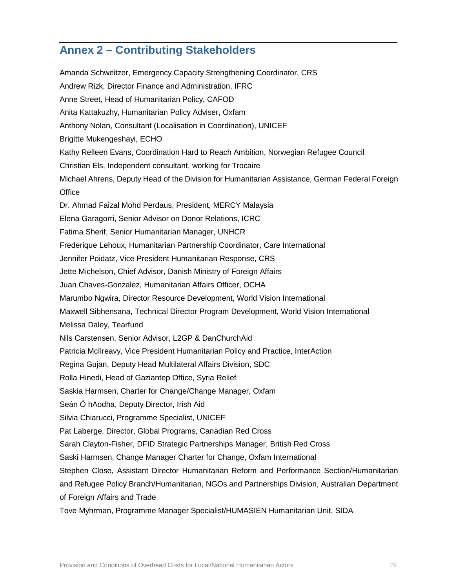# **Annex 2 – Contributing Stakeholders**

Amanda Schweitzer, Emergency Capacity Strengthening Coordinator, CRS Andrew Rizk, Director Finance and Administration, IFRC Anne Street, Head of Humanitarian Policy, CAFOD Anita Kattakuzhy, Humanitarian Policy Adviser, Oxfam Anthony Nolan, Consultant (Localisation in Coordination), UNICEF Brigitte Mukengeshayi, ECHO Kathy Relleen Evans, Coordination Hard to Reach Ambition, Norwegian Refugee Council Christian Els, Independent consultant, working for Trocaire Michael Ahrens, Deputy Head of the Division for Humanitarian Assistance, German Federal Foreign **Office** Dr. Ahmad Faizal Mohd Perdaus, President, MERCY Malaysia Elena Garagorri, Senior Advisor on Donor Relations, ICRC Fatima Sherif, Senior Humanitarian Manager, UNHCR Frederique Lehoux, Humanitarian Partnership Coordinator, Care International Jennifer Poidatz, Vice President Humanitarian Response, CRS Jette Michelson, Chief Advisor, Danish Ministry of Foreign Affairs Juan Chaves-Gonzalez, Humanitarian Affairs Officer, OCHA Marumbo Ngwira, Director Resource Development, World Vision International Maxwell Sibhensana, Technical Director Program Development, World Vision International Melissa Daley, Tearfund Nils Carstensen, Senior Advisor, L2GP & DanChurchAid Patricia McIlreavy, Vice President Humanitarian Policy and Practice, InterAction Regina Gujan, Deputy Head Multilateral Affairs Division, SDC Rolla Hinedi, Head of Gaziantep Office, Syria Relief Saskia Harmsen, Charter for Change/Change Manager, Oxfam Seán Ó hAodha, Deputy Director, Irish Aid Silvia Chiarucci, Programme Specialist, UNICEF Pat Laberge, Director, Global Programs, Canadian Red Cross Sarah Clayton-Fisher, DFID Strategic Partnerships Manager, British Red Cross Saski Harmsen, Change Manager Charter for Change, Oxfam International Stephen Close, Assistant Director Humanitarian Reform and Performance Section/Humanitarian and Refugee Policy Branch/Humanitarian, NGOs and Partnerships Division, Australian Department of Foreign Affairs and Trade Tove Myhrman, Programme Manager Specialist/HUMASIEN Humanitarian Unit, SIDA